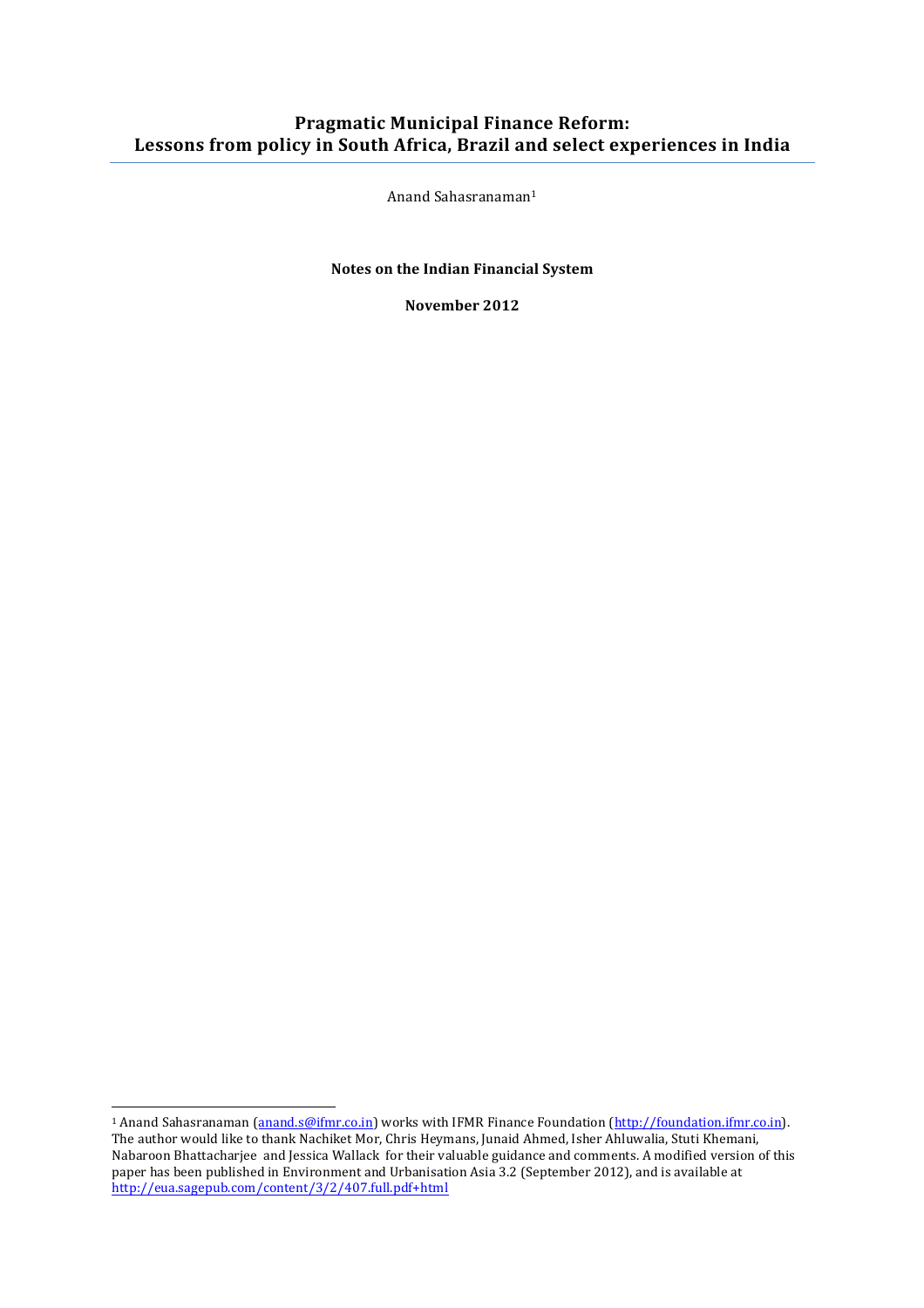## **Pragmatic Municipal Finance Reform:** Lessons from policy in South Africa, Brazil and select experiences in India

Anand Sahasranaman<sup>1</sup>

**Notes on the Indian Financial System** 

**November 2012**

<sup>&</sup>lt;sup>1</sup> Anand Sahasranaman (**anand.s@ifmr.co.in**) works with IFMR Finance Foundation (http://foundation.ifmr.co.in). The author would like to thank Nachiket Mor, Chris Heymans, Junaid Ahmed, Isher Ahluwalia, Stuti Khemani, Nabaroon Bhattacharjee and Jessica Wallack for their valuable guidance and comments. A modified version of this paper has been published in Environment and Urbanisation Asia 3.2 (September 2012), and is available at http://eua.sagepub.com/content/3/2/407.full.pdf+html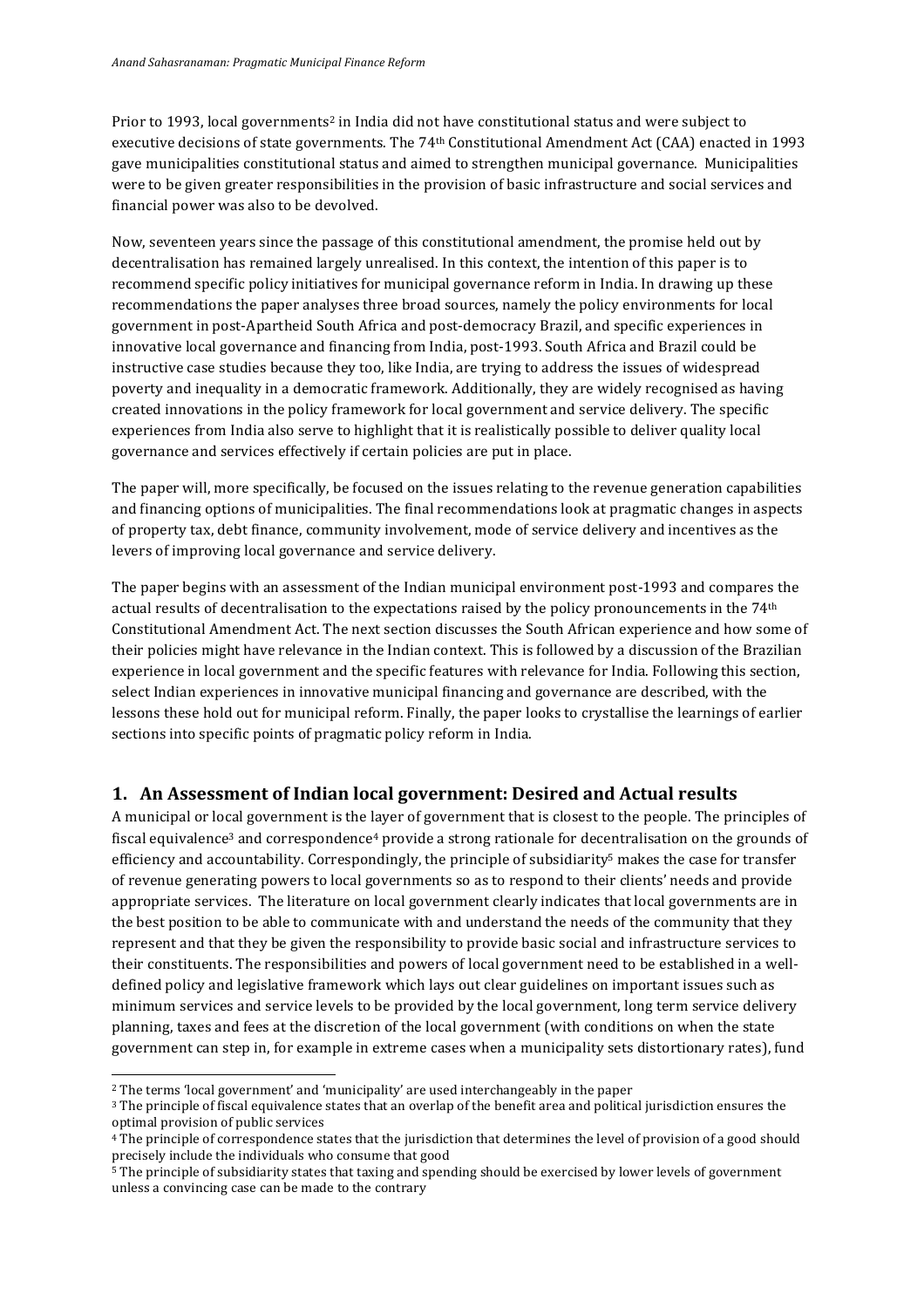Prior to 1993, local governments<sup>2</sup> in India did not have constitutional status and were subject to executive decisions of state governments. The 74<sup>th</sup> Constitutional Amendment Act (CAA) enacted in 1993 gave municipalities constitutional status and aimed to strengthen municipal governance. Municipalities were to be given greater responsibilities in the provision of basic infrastructure and social services and financial power was also to be devolved.

Now, seventeen years since the passage of this constitutional amendment, the promise held out by decentralisation has remained largely unrealised. In this context, the intention of this paper is to recommend specific policy initiatives for municipal governance reform in India. In drawing up these recommendations the paper analyses three broad sources, namely the policy environments for local government in post-Apartheid South Africa and post-democracy Brazil, and specific experiences in innovative local governance and financing from India, post-1993. South Africa and Brazil could be instructive case studies because they too, like India, are trying to address the issues of widespread poverty and inequality in a democratic framework. Additionally, they are widely recognised as having created innovations in the policy framework for local government and service delivery. The specific experiences from India also serve to highlight that it is realistically possible to deliver quality local governance and services effectively if certain policies are put in place.

The paper will, more specifically, be focused on the issues relating to the revenue generation capabilities and financing options of municipalities. The final recommendations look at pragmatic changes in aspects of property tax, debt finance, community involvement, mode of service delivery and incentives as the levers of improving local governance and service delivery.

The paper begins with an assessment of the Indian municipal environment post-1993 and compares the actual results of decentralisation to the expectations raised by the policy pronouncements in the 74<sup>th</sup> Constitutional Amendment Act. The next section discusses the South African experience and how some of their policies might have relevance in the Indian context. This is followed by a discussion of the Brazilian experience in local government and the specific features with relevance for India. Following this section, select Indian experiences in innovative municipal financing and governance are described, with the lessons these hold out for municipal reform. Finally, the paper looks to crystallise the learnings of earlier sections into specific points of pragmatic policy reform in India.

### **1. An Assessment of Indian local government: Desired and Actual results**

A municipal or local government is the layer of government that is closest to the people. The principles of fiscal equivalence<sup>3</sup> and correspondence<sup>4</sup> provide a strong rationale for decentralisation on the grounds of efficiency and accountability. Correspondingly, the principle of subsidiarity<sup>5</sup> makes the case for transfer of revenue generating powers to local governments so as to respond to their clients' needs and provide appropriate services. The literature on local government clearly indicates that local governments are in the best position to be able to communicate with and understand the needs of the community that they represent and that they be given the responsibility to provide basic social and infrastructure services to their constituents. The responsibilities and powers of local government need to be established in a welldefined policy and legislative framework which lays out clear guidelines on important issues such as minimum services and service levels to be provided by the local government, long term service delivery planning, taxes and fees at the discretion of the local government (with conditions on when the state government can step in, for example in extreme cases when a municipality sets distortionary rates), fund

<sup>&</sup>lt;sup>2</sup> The terms 'local government' and 'municipality' are used interchangeably in the paper

<sup>&</sup>lt;sup>3</sup> The principle of fiscal equivalence states that an overlap of the benefit area and political jurisdiction ensures the optimal provision of public services

<sup>&</sup>lt;sup>4</sup> The principle of correspondence states that the jurisdiction that determines the level of provision of a good should precisely include the individuals who consume that good

<sup>&</sup>lt;sup>5</sup> The principle of subsidiarity states that taxing and spending should be exercised by lower levels of government unless a convincing case can be made to the contrary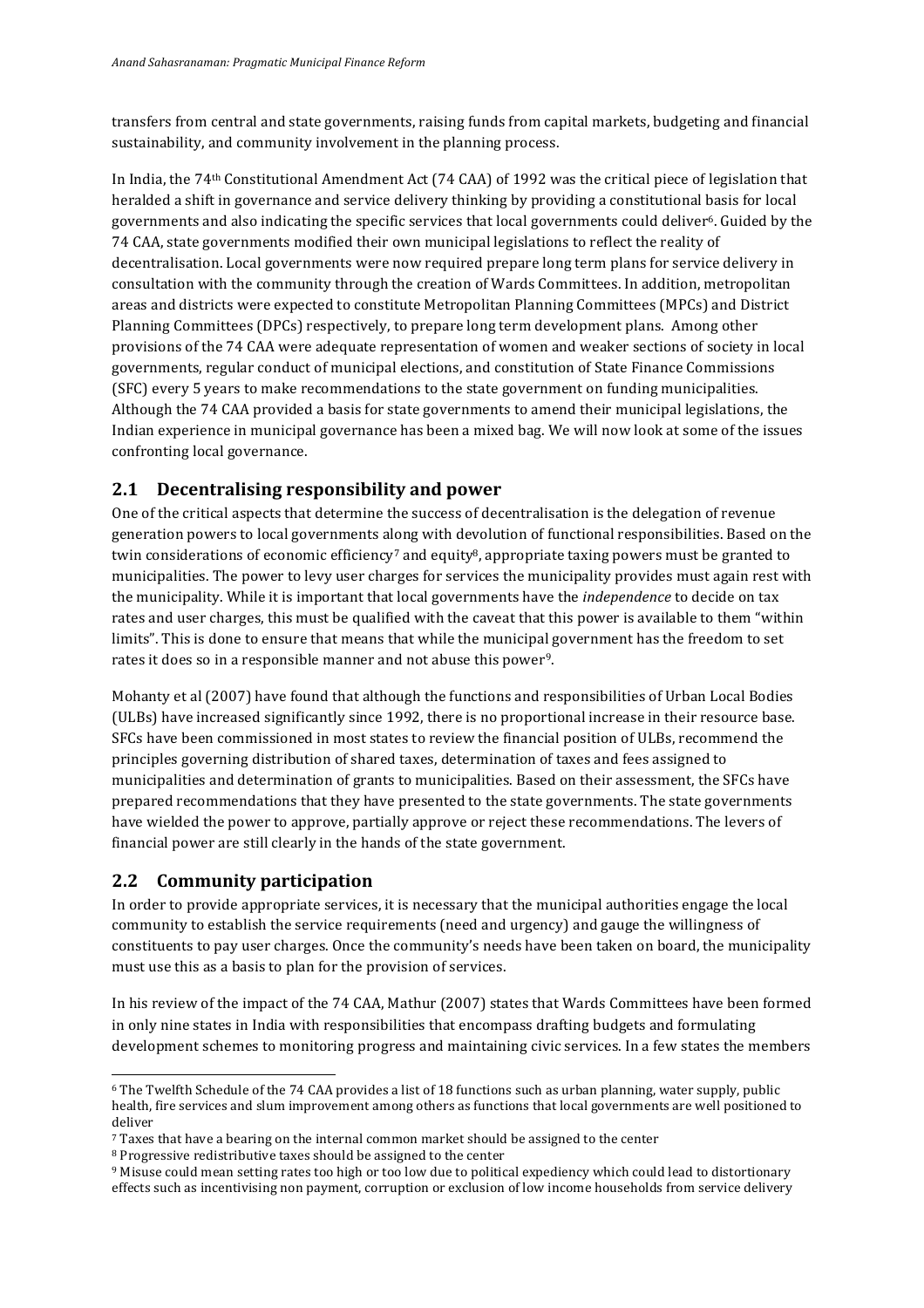transfers from central and state governments, raising funds from capital markets, budgeting and financial sustainability, and community involvement in the planning process.

In India, the 74<sup>th</sup> Constitutional Amendment Act (74 CAA) of 1992 was the critical piece of legislation that heralded a shift in governance and service delivery thinking by providing a constitutional basis for local governments and also indicating the specific services that local governments could deliver<sup>6</sup>. Guided by the 74 CAA, state governments modified their own municipal legislations to reflect the reality of decentralisation. Local governments were now required prepare long term plans for service delivery in consultation with the community through the creation of Wards Committees. In addition, metropolitan areas and districts were expected to constitute Metropolitan Planning Committees (MPCs) and District Planning Committees (DPCs) respectively, to prepare long term development plans. Among other provisions of the 74 CAA were adequate representation of women and weaker sections of society in local governments, regular conduct of municipal elections, and constitution of State Finance Commissions (SFC) every 5 years to make recommendations to the state government on funding municipalities. Although the 74 CAA provided a basis for state governments to amend their municipal legislations, the Indian experience in municipal governance has been a mixed bag. We will now look at some of the issues confronting local governance.

### **2.1 Decentralising responsibility and power**

One of the critical aspects that determine the success of decentralisation is the delegation of revenue generation powers to local governments along with devolution of functional responsibilities. Based on the twin considerations of economic efficiency<sup>7</sup> and equity<sup>8</sup>, appropriate taxing powers must be granted to municipalities. The power to levy user charges for services the municipality provides must again rest with the municipality. While it is important that local governments have the *independence* to decide on tax rates and user charges, this must be qualified with the caveat that this power is available to them "within limits". This is done to ensure that means that while the municipal government has the freedom to set rates it does so in a responsible manner and not abuse this power<sup>9</sup>.

Mohanty et al (2007) have found that although the functions and responsibilities of Urban Local Bodies (ULBs) have increased significantly since 1992, there is no proportional increase in their resource base. SFCs have been commissioned in most states to review the financial position of ULBs, recommend the principles governing distribution of shared taxes, determination of taxes and fees assigned to municipalities and determination of grants to municipalities. Based on their assessment, the SFCs have prepared recommendations that they have presented to the state governments. The state governments have wielded the power to approve, partially approve or reject these recommendations. The levers of financial power are still clearly in the hands of the state government.

## **2.2 Community participation**

 

In order to provide appropriate services, it is necessary that the municipal authorities engage the local community to establish the service requirements (need and urgency) and gauge the willingness of constituents to pay user charges. Once the community's needs have been taken on board, the municipality must use this as a basis to plan for the provision of services.

In his review of the impact of the 74 CAA, Mathur (2007) states that Wards Committees have been formed in only nine states in India with responsibilities that encompass drafting budgets and formulating development schemes to monitoring progress and maintaining civic services. In a few states the members

 $6$  The Twelfth Schedule of the 74 CAA provides a list of 18 functions such as urban planning, water supply, public health, fire services and slum improvement among others as functions that local governments are well positioned to deliver 

<sup>7</sup> Taxes that have a bearing on the internal common market should be assigned to the center

<sup>8</sup> Progressive redistributive taxes should be assigned to the center

<sup>&</sup>lt;sup>9</sup> Misuse could mean setting rates too high or too low due to political expediency which could lead to distortionary effects such as incentivising non payment, corruption or exclusion of low income households from service delivery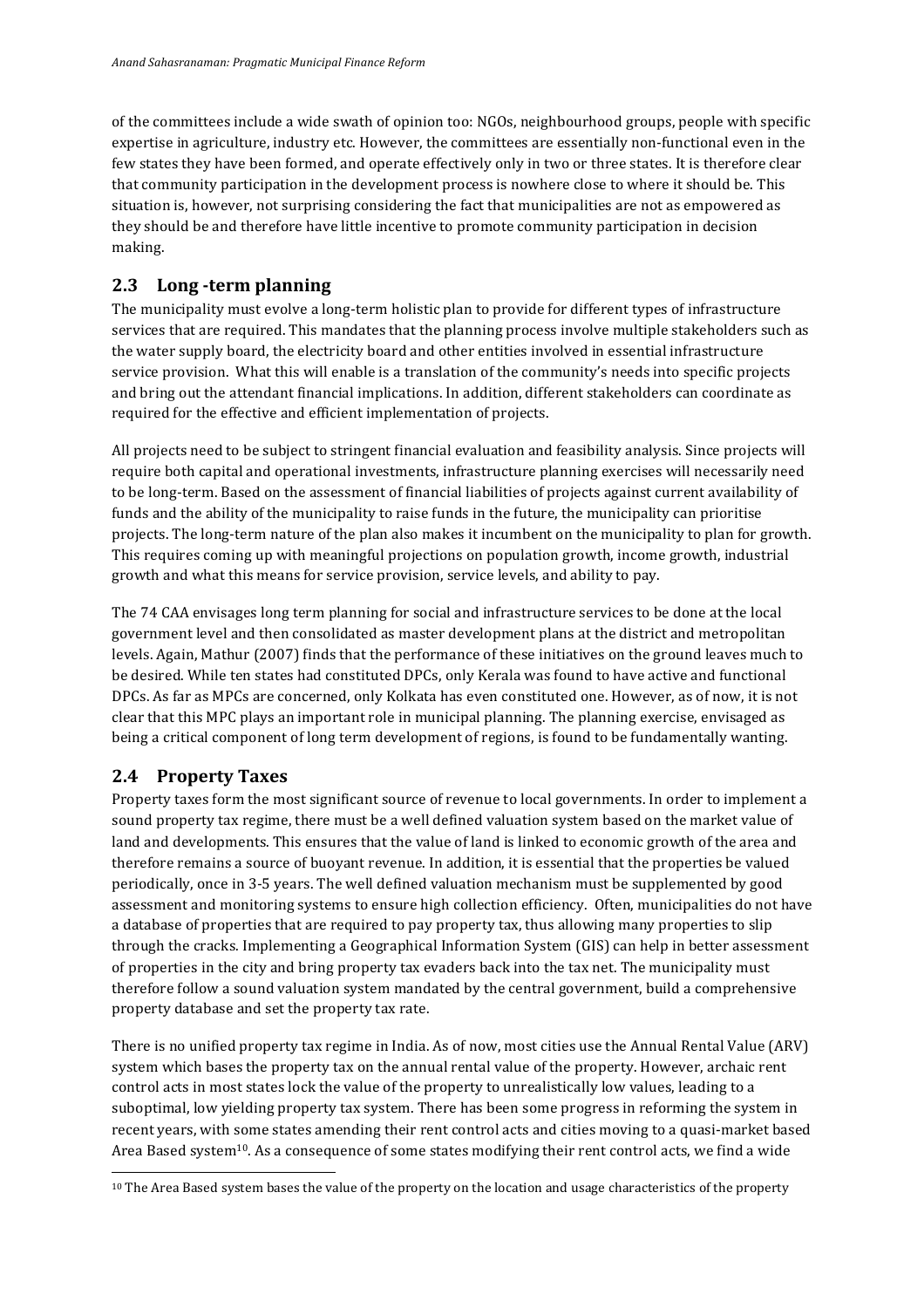of the committees include a wide swath of opinion too: NGOs, neighbourhood groups, people with specific expertise in agriculture, industry etc. However, the committees are essentially non-functional even in the few states they have been formed, and operate effectively only in two or three states. It is therefore clear that community participation in the development process is nowhere close to where it should be. This situation is, however, not surprising considering the fact that municipalities are not as empowered as they should be and therefore have little incentive to promote community participation in decision making.

# **2.3 Long -term planning**

The municipality must evolve a long-term holistic plan to provide for different types of infrastructure services that are required. This mandates that the planning process involve multiple stakeholders such as the water supply board, the electricity board and other entities involved in essential infrastructure service provision. What this will enable is a translation of the community's needs into specific projects and bring out the attendant financial implications. In addition, different stakeholders can coordinate as required for the effective and efficient implementation of projects.

All projects need to be subject to stringent financial evaluation and feasibility analysis. Since projects will require both capital and operational investments, infrastructure planning exercises will necessarily need to be long-term. Based on the assessment of financial liabilities of projects against current availability of funds and the ability of the municipality to raise funds in the future, the municipality can prioritise projects. The long-term nature of the plan also makes it incumbent on the municipality to plan for growth. This requires coming up with meaningful projections on population growth, income growth, industrial growth and what this means for service provision, service levels, and ability to pay.

The 74 CAA envisages long term planning for social and infrastructure services to be done at the local government level and then consolidated as master development plans at the district and metropolitan levels. Again, Mathur (2007) finds that the performance of these initiatives on the ground leaves much to be desired. While ten states had constituted DPCs, only Kerala was found to have active and functional DPCs. As far as MPCs are concerned, only Kolkata has even constituted one. However, as of now, it is not clear that this MPC plays an important role in municipal planning. The planning exercise, envisaged as being a critical component of long term development of regions, is found to be fundamentally wanting.

# **2.4 Property Taxes**

 

Property taxes form the most significant source of revenue to local governments. In order to implement a sound property tax regime, there must be a well defined valuation system based on the market value of land and developments. This ensures that the value of land is linked to economic growth of the area and therefore remains a source of buoyant revenue. In addition, it is essential that the properties be valued periodically, once in 3-5 years. The well defined valuation mechanism must be supplemented by good assessment and monitoring systems to ensure high collection efficiency. Often, municipalities do not have a database of properties that are required to pay property tax, thus allowing many properties to slip through the cracks. Implementing a Geographical Information System (GIS) can help in better assessment of properties in the city and bring property tax evaders back into the tax net. The municipality must therefore follow a sound valuation system mandated by the central government, build a comprehensive property database and set the property tax rate.

There is no unified property tax regime in India. As of now, most cities use the Annual Rental Value (ARV) system which bases the property tax on the annual rental value of the property. However, archaic rent control acts in most states lock the value of the property to unrealistically low values, leading to a suboptimal, low yielding property tax system. There has been some progress in reforming the system in recent years, with some states amending their rent control acts and cities moving to a quasi-market based Area Based system<sup>10</sup>. As a consequence of some states modifying their rent control acts, we find a wide

<sup>&</sup>lt;sup>10</sup> The Area Based system bases the value of the property on the location and usage characteristics of the property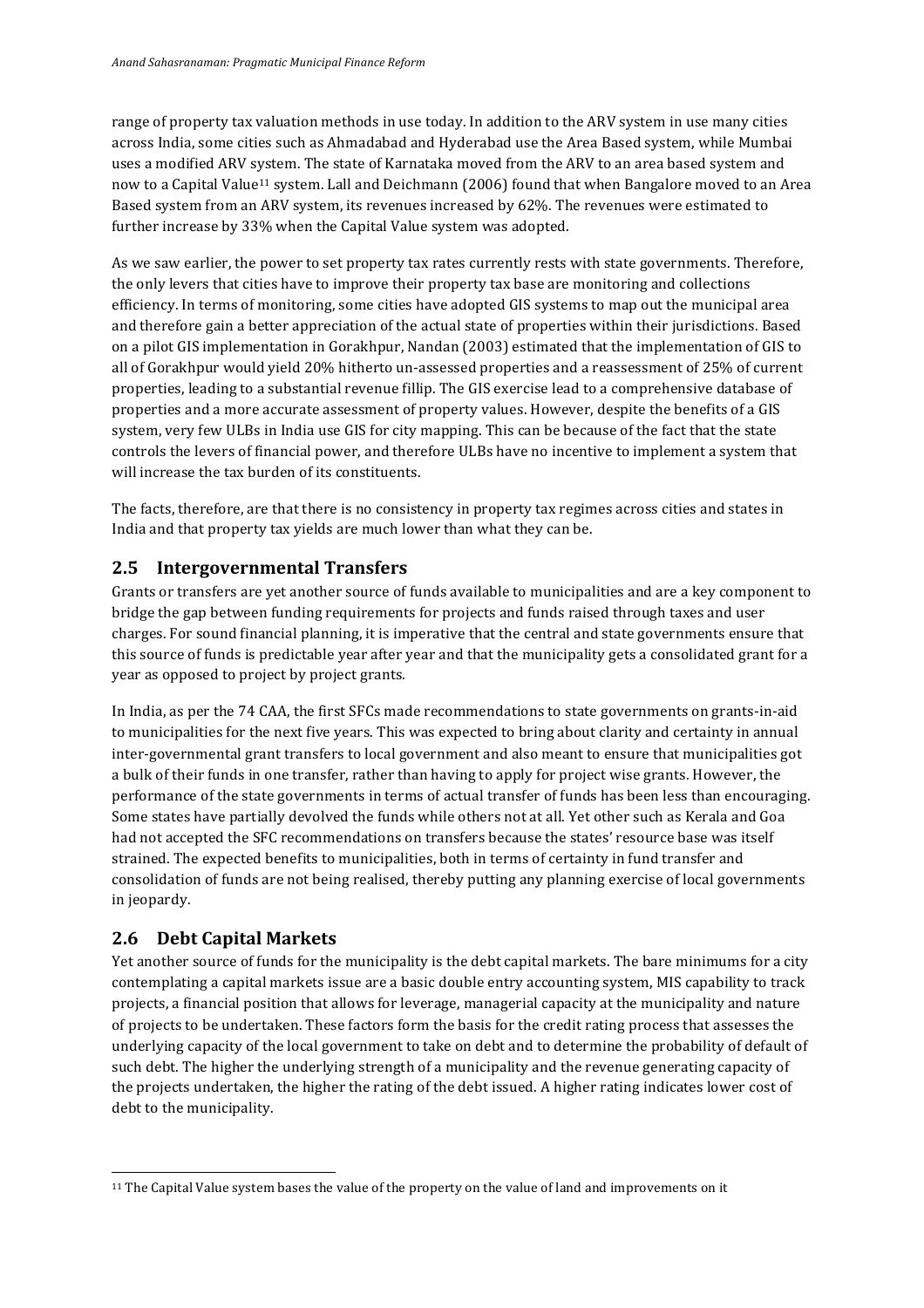range of property tax valuation methods in use today. In addition to the ARV system in use many cities across India, some cities such as Ahmadabad and Hyderabad use the Area Based system, while Mumbai uses a modified ARV system. The state of Karnataka moved from the ARV to an area based system and now to a Capital Value<sup>11</sup> system. Lall and Deichmann (2006) found that when Bangalore moved to an Area Based system from an ARV system, its revenues increased by 62%. The revenues were estimated to further increase by 33% when the Capital Value system was adopted.

As we saw earlier, the power to set property tax rates currently rests with state governments. Therefore, the only levers that cities have to improve their property tax base are monitoring and collections efficiency. In terms of monitoring, some cities have adopted GIS systems to map out the municipal area and therefore gain a better appreciation of the actual state of properties within their jurisdictions. Based on a pilot GIS implementation in Gorakhpur, Nandan (2003) estimated that the implementation of GIS to all of Gorakhpur would yield 20% hitherto un-assessed properties and a reassessment of 25% of current properties, leading to a substantial revenue fillip. The GIS exercise lead to a comprehensive database of properties and a more accurate assessment of property values. However, despite the benefits of a GIS system, very few ULBs in India use GIS for city mapping. This can be because of the fact that the state controls the levers of financial power, and therefore ULBs have no incentive to implement a system that will increase the tax burden of its constituents.

The facts, therefore, are that there is no consistency in property tax regimes across cities and states in India and that property tax yields are much lower than what they can be.

### **2.5 Intergovernmental Transfers**

Grants or transfers are yet another source of funds available to municipalities and are a key component to bridge the gap between funding requirements for projects and funds raised through taxes and user charges. For sound financial planning, it is imperative that the central and state governments ensure that this source of funds is predictable year after year and that the municipality gets a consolidated grant for a year as opposed to project by project grants.

In India, as per the 74 CAA, the first SFCs made recommendations to state governments on grants-in-aid to municipalities for the next five vears. This was expected to bring about clarity and certainty in annual inter-governmental grant transfers to local government and also meant to ensure that municipalities got a bulk of their funds in one transfer, rather than having to apply for project wise grants. However, the performance of the state governments in terms of actual transfer of funds has been less than encouraging. Some states have partially devolved the funds while others not at all. Yet other such as Kerala and Goa had not accepted the SFC recommendations on transfers because the states' resource base was itself strained. The expected benefits to municipalities, both in terms of certainty in fund transfer and consolidation of funds are not being realised, thereby putting any planning exercise of local governments in jeopardy.

## **2.6 Debt Capital Markets**

 

Yet another source of funds for the municipality is the debt capital markets. The bare minimums for a city contemplating a capital markets issue are a basic double entry accounting system, MIS capability to track projects, a financial position that allows for leverage, managerial capacity at the municipality and nature of projects to be undertaken. These factors form the basis for the credit rating process that assesses the underlying capacity of the local government to take on debt and to determine the probability of default of such debt. The higher the underlying strength of a municipality and the revenue generating capacity of the projects undertaken, the higher the rating of the debt issued. A higher rating indicates lower cost of debt to the municipality.

<sup>&</sup>lt;sup>11</sup> The Capital Value system bases the value of the property on the value of land and improvements on it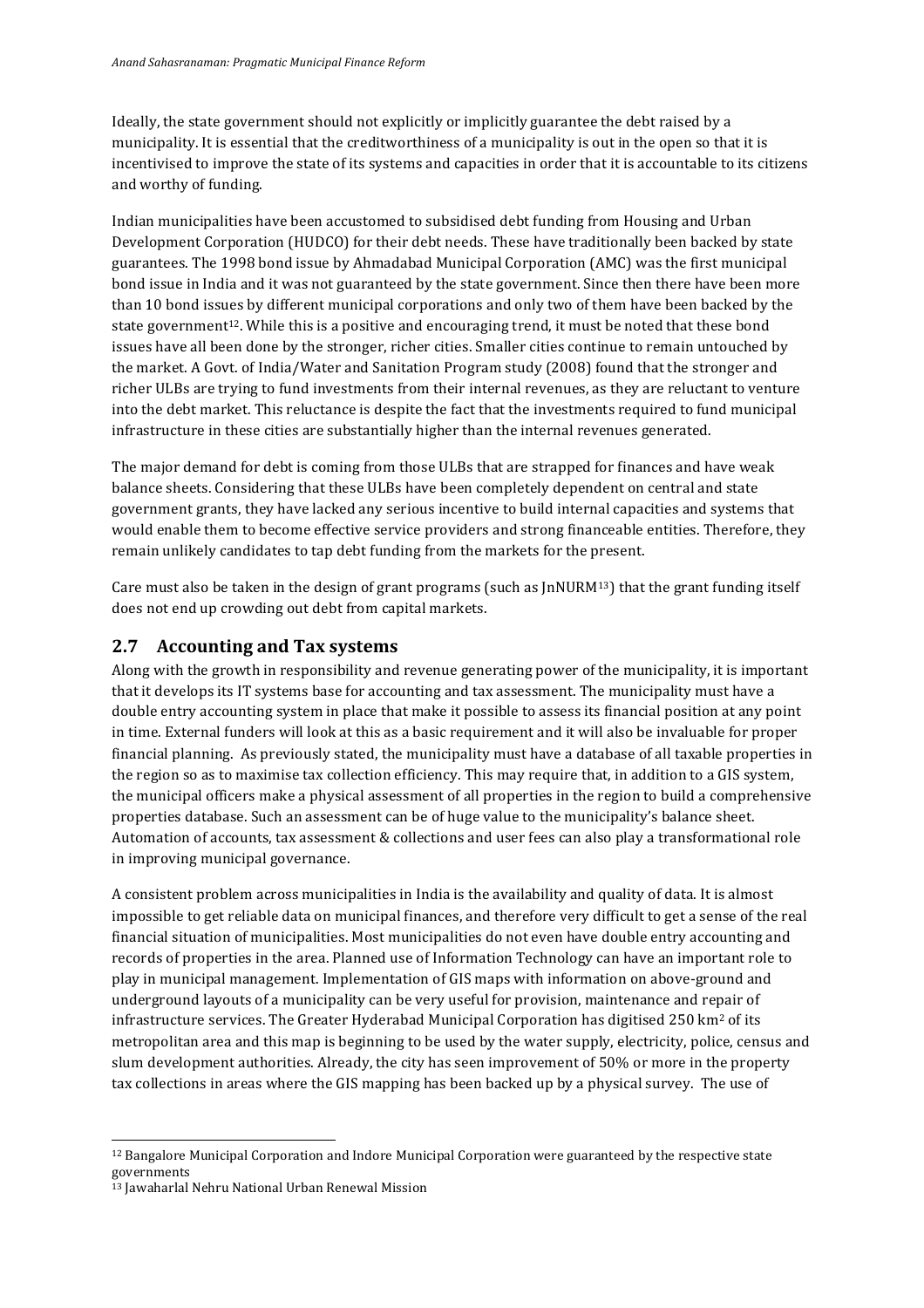Ideally, the state government should not explicitly or implicitly guarantee the debt raised by a municipality. It is essential that the creditworthiness of a municipality is out in the open so that it is incentivised to improve the state of its systems and capacities in order that it is accountable to its citizens and worthy of funding.

Indian municipalities have been accustomed to subsidised debt funding from Housing and Urban Development Corporation (HUDCO) for their debt needs. These have traditionally been backed by state guarantees. The 1998 bond issue by Ahmadabad Municipal Corporation (AMC) was the first municipal bond issue in India and it was not guaranteed by the state government. Since then there have been more than 10 bond issues by different municipal corporations and only two of them have been backed by the state government<sup>12</sup>. While this is a positive and encouraging trend, it must be noted that these bond issues have all been done by the stronger, richer cities. Smaller cities continue to remain untouched by the market. A Govt. of India/Water and Sanitation Program study (2008) found that the stronger and richer ULBs are trying to fund investments from their internal revenues, as they are reluctant to venture into the debt market. This reluctance is despite the fact that the investments required to fund municipal infrastructure in these cities are substantially higher than the internal revenues generated.

The major demand for debt is coming from those ULBs that are strapped for finances and have weak balance sheets. Considering that these ULBs have been completely dependent on central and state government grants, they have lacked any serious incentive to build internal capacities and systems that would enable them to become effective service providers and strong financeable entities. Therefore, they remain unlikely candidates to tap debt funding from the markets for the present.

Care must also be taken in the design of grant programs (such as  $\text{INURM}^{13}$ ) that the grant funding itself does not end up crowding out debt from capital markets.

### **2.7 Accounting and Tax systems**

Along with the growth in responsibility and revenue generating power of the municipality, it is important that it develops its IT systems base for accounting and tax assessment. The municipality must have a double entry accounting system in place that make it possible to assess its financial position at any point in time. External funders will look at this as a basic requirement and it will also be invaluable for proper financial planning. As previously stated, the municipality must have a database of all taxable properties in the region so as to maximise tax collection efficiency. This may require that, in addition to a GIS system, the municipal officers make a physical assessment of all properties in the region to build a comprehensive properties database. Such an assessment can be of huge value to the municipality's balance sheet. Automation of accounts, tax assessment & collections and user fees can also play a transformational role in improving municipal governance.

A consistent problem across municipalities in India is the availability and quality of data. It is almost impossible to get reliable data on municipal finances, and therefore very difficult to get a sense of the real financial situation of municipalities. Most municipalities do not even have double entry accounting and records of properties in the area. Planned use of Information Technology can have an important role to play in municipal management. Implementation of GIS maps with information on above-ground and underground layouts of a municipality can be very useful for provision, maintenance and repair of infrastructure services. The Greater Hyderabad Municipal Corporation has digitised  $250 \text{ km}^2$  of its metropolitan area and this map is beginning to be used by the water supply, electricity, police, census and slum development authorities. Already, the city has seen improvement of 50% or more in the property tax collections in areas where the GIS mapping has been backed up by a physical survey. The use of

<u> 1989 - Jan Samuel Barbara, margaret e</u>

<sup>&</sup>lt;sup>12</sup> Bangalore Municipal Corporation and Indore Municipal Corporation were guaranteed by the respective state governments

<sup>&</sup>lt;sup>13</sup> Jawaharlal Nehru National Urban Renewal Mission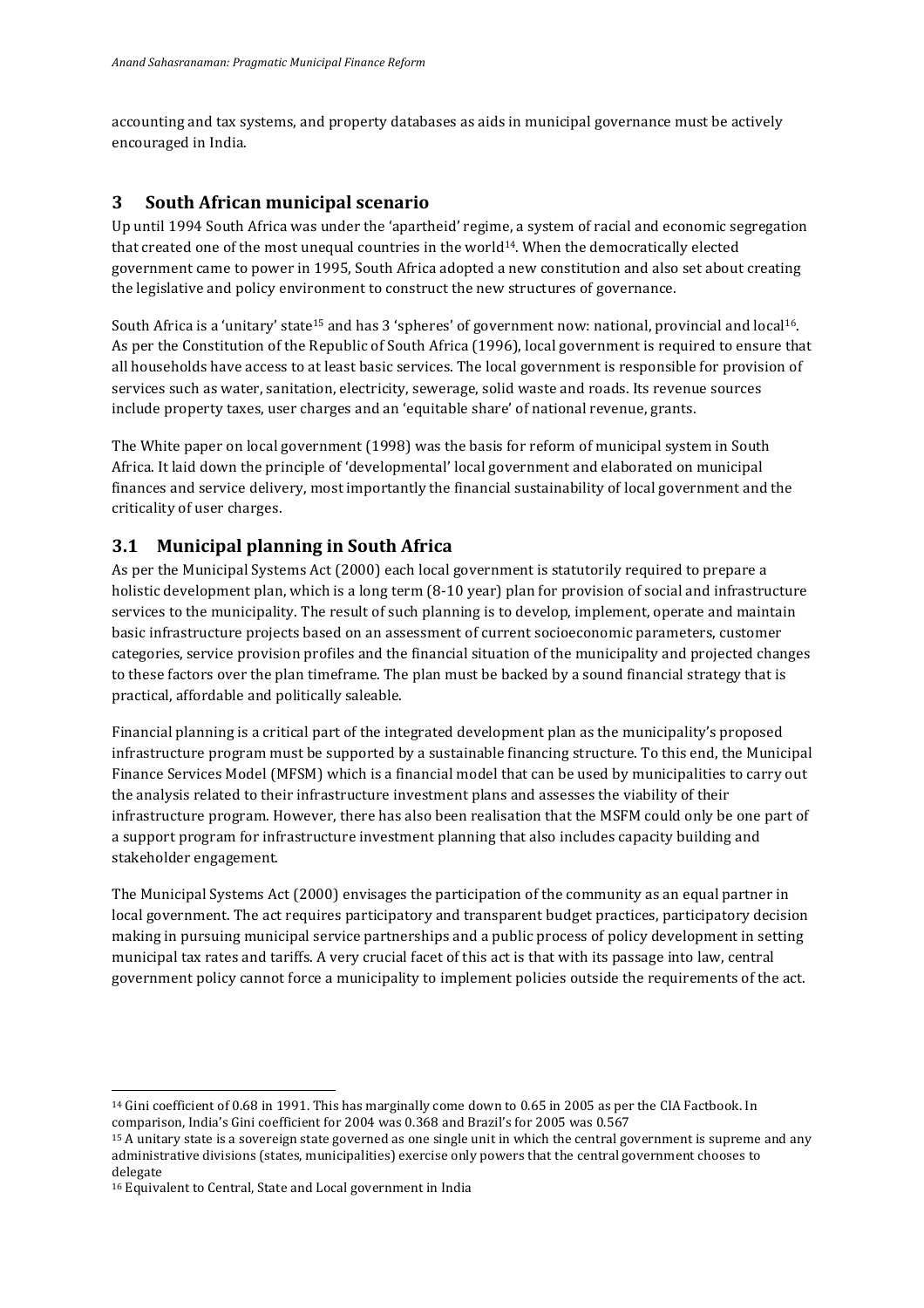accounting and tax systems, and property databases as aids in municipal governance must be actively encouraged in India.

## **3 South African municipal scenario**

Up until 1994 South Africa was under the 'apartheid' regime, a system of racial and economic segregation that created one of the most unequal countries in the world<sup>14</sup>. When the democratically elected government came to power in 1995, South Africa adopted a new constitution and also set about creating the legislative and policy environment to construct the new structures of governance.

South Africa is a 'unitary' state<sup>15</sup> and has 3 'spheres' of government now: national, provincial and local<sup>16</sup>. As per the Constitution of the Republic of South Africa (1996), local government is required to ensure that all households have access to at least basic services. The local government is responsible for provision of services such as water, sanitation, electricity, sewerage, solid waste and roads. Its revenue sources include property taxes, user charges and an 'equitable share' of national revenue, grants.

The White paper on local government (1998) was the basis for reform of municipal system in South Africa. It laid down the principle of 'developmental' local government and elaborated on municipal finances and service delivery, most importantly the financial sustainability of local government and the criticality of user charges.

# **3.1 Municipal planning in South Africa**

As per the Municipal Systems Act (2000) each local government is statutorily required to prepare a holistic development plan, which is a long term  $(8-10 \text{ year})$  plan for provision of social and infrastructure services to the municipality. The result of such planning is to develop, implement, operate and maintain basic infrastructure projects based on an assessment of current socioeconomic parameters, customer categories, service provision profiles and the financial situation of the municipality and projected changes to these factors over the plan timeframe. The plan must be backed by a sound financial strategy that is practical, affordable and politically saleable.

Financial planning is a critical part of the integrated development plan as the municipality's proposed infrastructure program must be supported by a sustainable financing structure. To this end, the Municipal Finance Services Model (MFSM) which is a financial model that can be used by municipalities to carry out the analysis related to their infrastructure investment plans and assesses the viability of their infrastructure program. However, there has also been realisation that the MSFM could only be one part of a support program for infrastructure investment planning that also includes capacity building and stakeholder engagement.

The Municipal Systems Act (2000) envisages the participation of the community as an equal partner in local government. The act requires participatory and transparent budget practices, participatory decision making in pursuing municipal service partnerships and a public process of policy development in setting municipal tax rates and tariffs. A very crucial facet of this act is that with its passage into law, central government policy cannot force a municipality to implement policies outside the requirements of the act.

<sup>&</sup>lt;sup>14</sup> Gini coefficient of 0.68 in 1991. This has marginally come down to 0.65 in 2005 as per the CIA Factbook. In comparison, India's Gini coefficient for 2004 was 0.368 and Brazil's for 2005 was 0.567

<sup>&</sup>lt;sup>15</sup> A unitary state is a sovereign state governed as one single unit in which the central government is supreme and any administrative divisions (states, municipalities) exercise only powers that the central government chooses to delegate

<sup>&</sup>lt;sup>16</sup> Equivalent to Central, State and Local government in India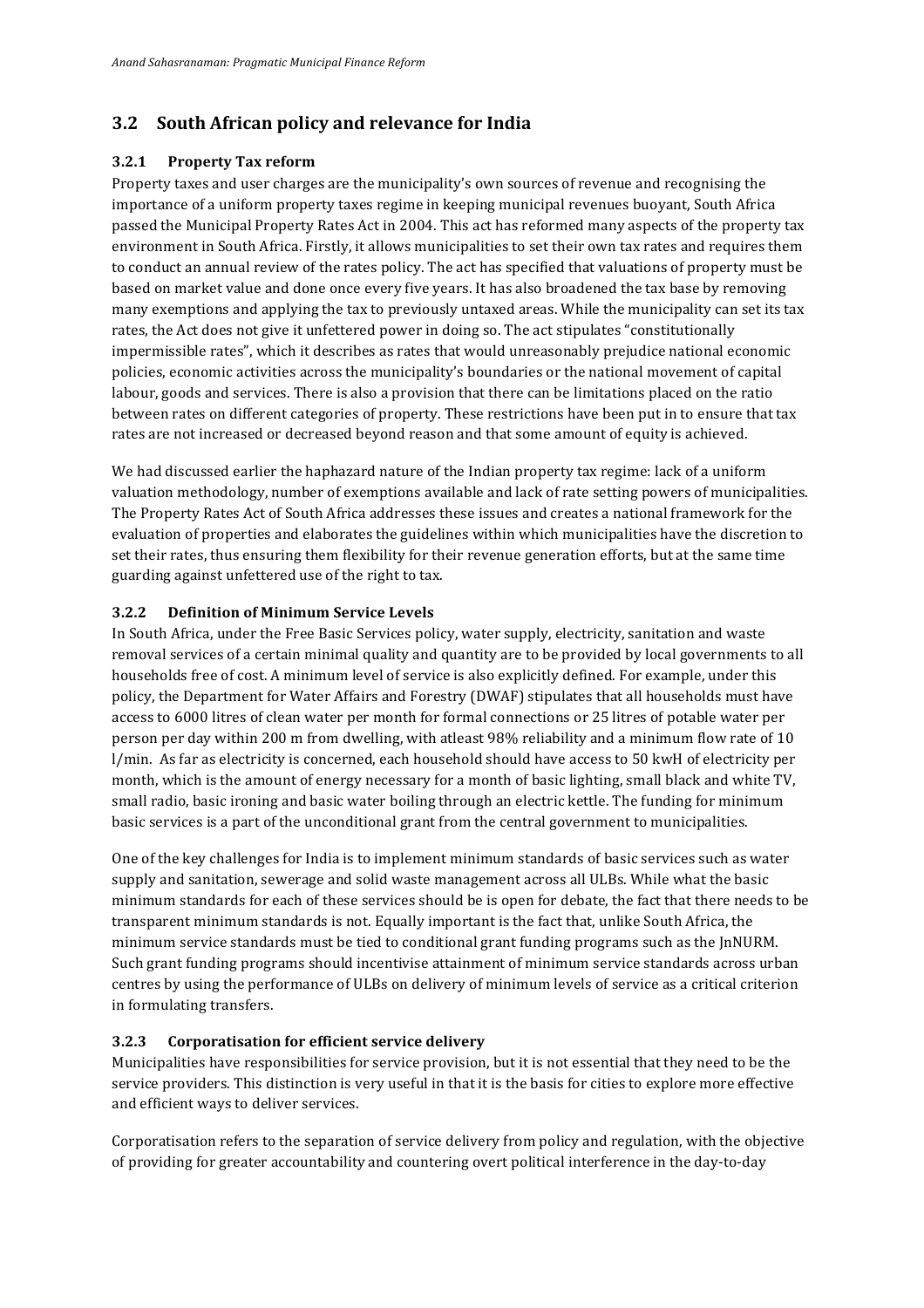# **3.2 South African policy and relevance for India**

#### **3.2.1 Property Tax reform**

Property taxes and user charges are the municipality's own sources of revenue and recognising the importance of a uniform property taxes regime in keeping municipal revenues buoyant, South Africa passed the Municipal Property Rates Act in 2004. This act has reformed many aspects of the property tax environment in South Africa. Firstly, it allows municipalities to set their own tax rates and requires them to conduct an annual review of the rates policy. The act has specified that valuations of property must be based on market value and done once every five years. It has also broadened the tax base by removing many exemptions and applying the tax to previously untaxed areas. While the municipality can set its tax rates, the Act does not give it unfettered power in doing so. The act stipulates "constitutionally impermissible rates", which it describes as rates that would unreasonably prejudice national economic policies, economic activities across the municipality's boundaries or the national movement of capital labour, goods and services. There is also a provision that there can be limitations placed on the ratio between rates on different categories of property. These restrictions have been put in to ensure that tax rates are not increased or decreased beyond reason and that some amount of equity is achieved.

We had discussed earlier the haphazard nature of the Indian property tax regime: lack of a uniform valuation methodology, number of exemptions available and lack of rate setting powers of municipalities. The Property Rates Act of South Africa addresses these issues and creates a national framework for the evaluation of properties and elaborates the guidelines within which municipalities have the discretion to set their rates, thus ensuring them flexibility for their revenue generation efforts, but at the same time guarding against unfettered use of the right to tax.

### **3.2.2 Definition of Minimum Service Levels**

In South Africa, under the Free Basic Services policy, water supply, electricity, sanitation and waste removal services of a certain minimal quality and quantity are to be provided by local governments to all households free of cost. A minimum level of service is also explicitly defined. For example, under this policy, the Department for Water Affairs and Forestry (DWAF) stipulates that all households must have access to 6000 litres of clean water per month for formal connections or 25 litres of potable water per person per day within 200 m from dwelling, with atleast 98% reliability and a minimum flow rate of 10 l/min. As far as electricity is concerned, each household should have access to 50 kwH of electricity per month, which is the amount of energy necessary for a month of basic lighting, small black and white TV, small radio, basic ironing and basic water boiling through an electric kettle. The funding for minimum basic services is a part of the unconditional grant from the central government to municipalities.

One of the key challenges for India is to implement minimum standards of basic services such as water supply and sanitation, sewerage and solid waste management across all ULBs. While what the basic minimum standards for each of these services should be is open for debate, the fact that there needs to be transparent minimum standards is not. Equally important is the fact that, unlike South Africa, the minimum service standards must be tied to conditional grant funding programs such as the JnNURM. Such grant funding programs should incentivise attainment of minimum service standards across urban centres by using the performance of ULBs on delivery of minimum levels of service as a critical criterion in formulating transfers.

#### **3.2.3 Corporatisation for efficient service delivery**

Municipalities have responsibilities for service provision, but it is not essential that they need to be the service providers. This distinction is very useful in that it is the basis for cities to explore more effective and efficient ways to deliver services.

Corporatisation refers to the separation of service delivery from policy and regulation, with the objective of providing for greater accountability and countering overt political interference in the day-to-day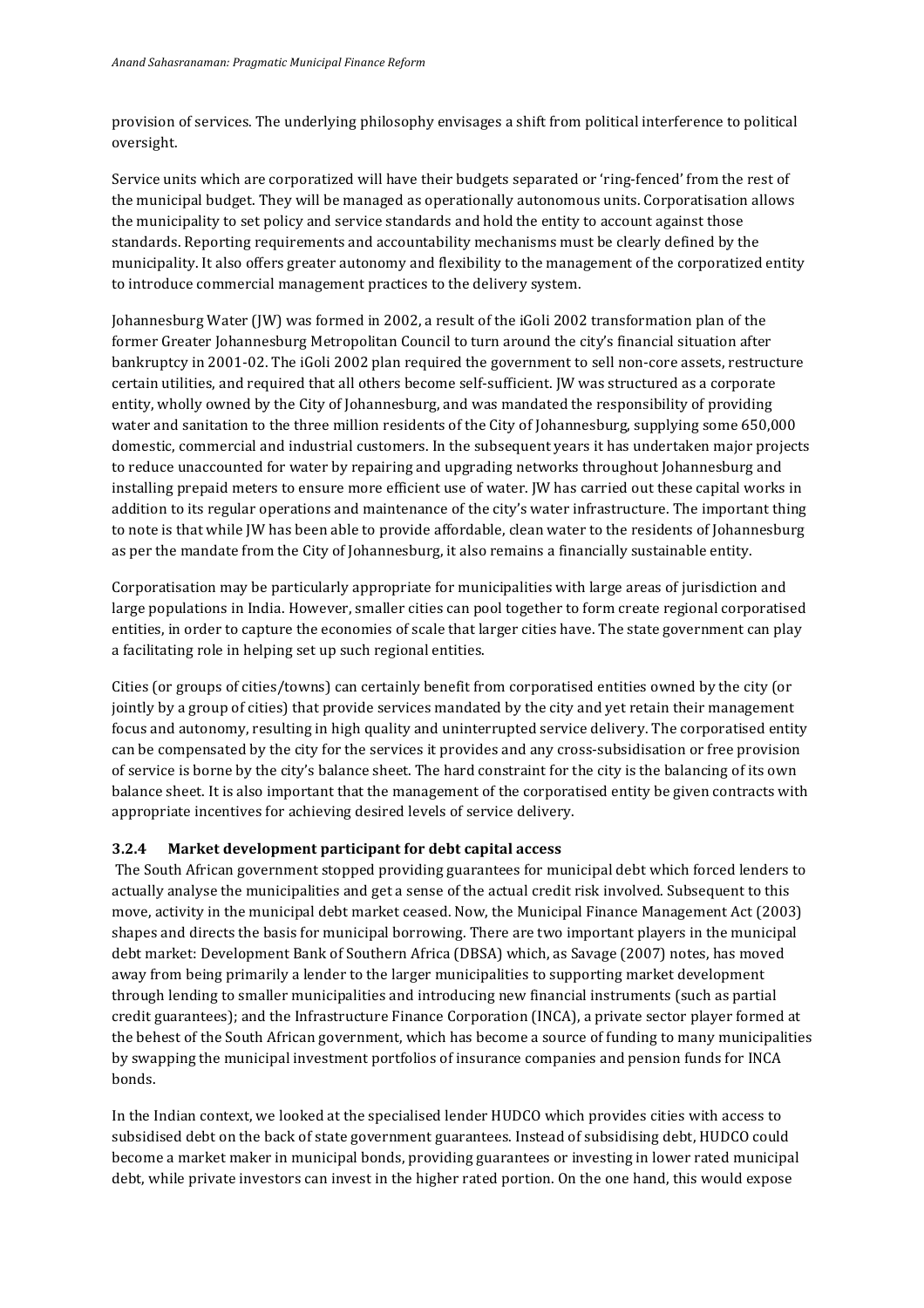provision of services. The underlying philosophy envisages a shift from political interference to political oversight.

Service units which are corporatized will have their budgets separated or 'ring-fenced' from the rest of the municipal budget. They will be managed as operationally autonomous units. Corporatisation allows the municipality to set policy and service standards and hold the entity to account against those standards. Reporting requirements and accountability mechanisms must be clearly defined by the municipality. It also offers greater autonomy and flexibility to the management of the corporatized entity to introduce commercial management practices to the delivery system.

Johannesburg Water (JW) was formed in 2002, a result of the iGoli 2002 transformation plan of the former Greater Johannesburg Metropolitan Council to turn around the city's financial situation after bankruptcy in 2001-02. The iGoli 2002 plan required the government to sell non-core assets, restructure certain utilities, and required that all others become self-sufficient. JW was structured as a corporate entity, wholly owned by the City of Johannesburg, and was mandated the responsibility of providing water and sanitation to the three million residents of the City of Johannesburg, supplying some 650,000 domestic, commercial and industrial customers. In the subsequent years it has undertaken major projects to reduce unaccounted for water by repairing and upgrading networks throughout Johannesburg and installing prepaid meters to ensure more efficient use of water. IW has carried out these capital works in addition to its regular operations and maintenance of the city's water infrastructure. The important thing to note is that while JW has been able to provide affordable, clean water to the residents of Johannesburg as per the mandate from the City of Johannesburg, it also remains a financially sustainable entity.

Corporatisation may be particularly appropriate for municipalities with large areas of jurisdiction and large populations in India. However, smaller cities can pool together to form create regional corporatised entities, in order to capture the economies of scale that larger cities have. The state government can play a facilitating role in helping set up such regional entities.

Cities (or groups of cities/towns) can certainly benefit from corporatised entities owned by the city (or jointly by a group of cities) that provide services mandated by the city and yet retain their management focus and autonomy, resulting in high quality and uninterrupted service delivery. The corporatised entity can be compensated by the city for the services it provides and any cross-subsidisation or free provision of service is borne by the city's balance sheet. The hard constraint for the city is the balancing of its own balance sheet. It is also important that the management of the corporatised entity be given contracts with appropriate incentives for achieving desired levels of service delivery.

### **3.2.4** Market development participant for debt capital access

The South African government stopped providing guarantees for municipal debt which forced lenders to actually analyse the municipalities and get a sense of the actual credit risk involved. Subsequent to this move, activity in the municipal debt market ceased. Now, the Municipal Finance Management Act (2003) shapes and directs the basis for municipal borrowing. There are two important players in the municipal debt market: Development Bank of Southern Africa (DBSA) which, as Savage (2007) notes, has moved away from being primarily a lender to the larger municipalities to supporting market development through lending to smaller municipalities and introducing new financial instruments (such as partial credit guarantees); and the Infrastructure Finance Corporation (INCA), a private sector player formed at the behest of the South African government, which has become a source of funding to many municipalities by swapping the municipal investment portfolios of insurance companies and pension funds for INCA bonds. 

In the Indian context, we looked at the specialised lender HUDCO which provides cities with access to subsidised debt on the back of state government guarantees. Instead of subsidising debt, HUDCO could become a market maker in municipal bonds, providing guarantees or investing in lower rated municipal debt, while private investors can invest in the higher rated portion. On the one hand, this would expose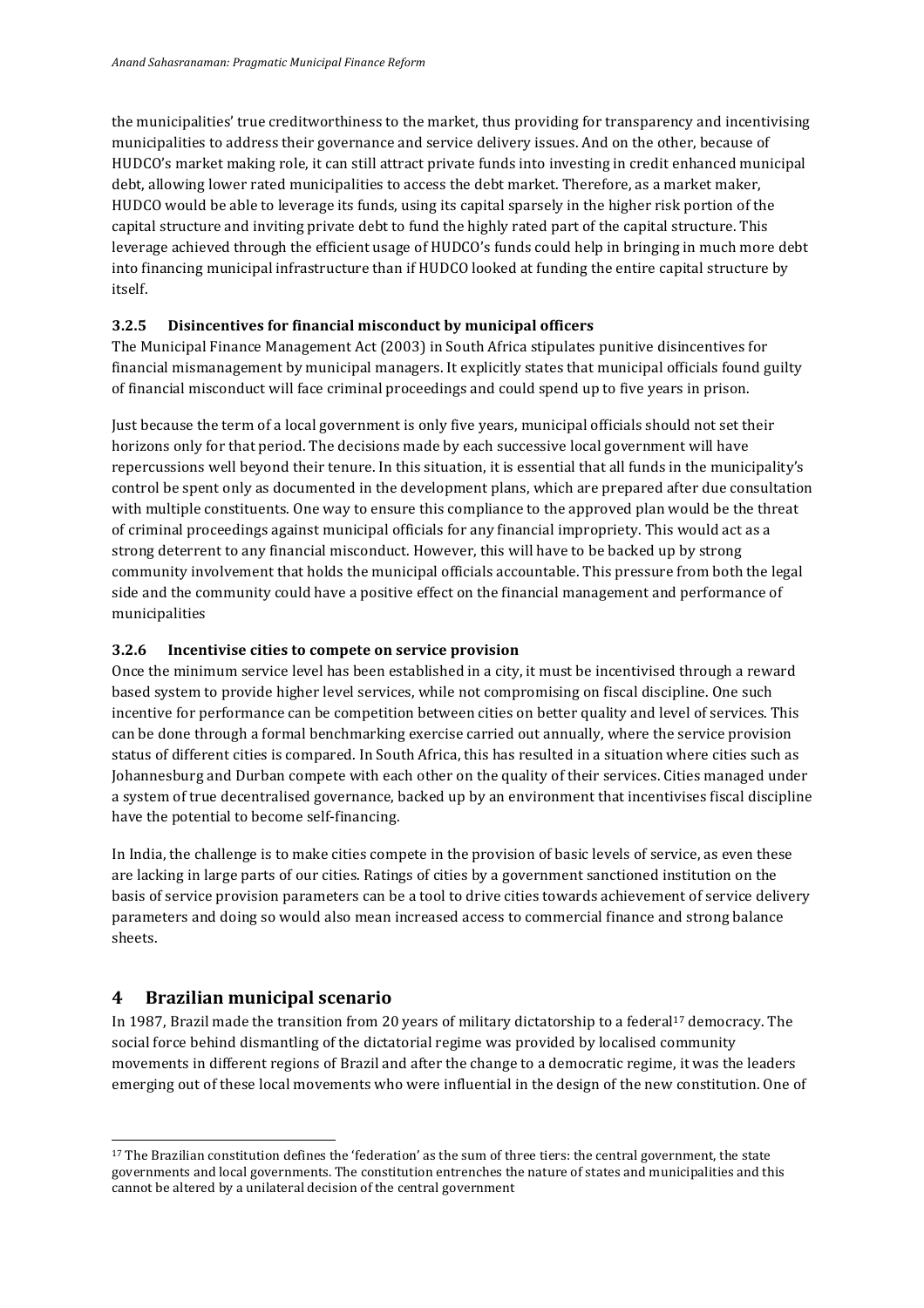the municipalities' true creditworthiness to the market, thus providing for transparency and incentivising municipalities to address their governance and service delivery issues. And on the other, because of HUDCO's market making role, it can still attract private funds into investing in credit enhanced municipal debt, allowing lower rated municipalities to access the debt market. Therefore, as a market maker, HUDCO would be able to leverage its funds, using its capital sparsely in the higher risk portion of the capital structure and inviting private debt to fund the highly rated part of the capital structure. This leverage achieved through the efficient usage of HUDCO's funds could help in bringing in much more debt into financing municipal infrastructure than if HUDCO looked at funding the entire capital structure by itself.

### **3.2.5** Disincentives for financial misconduct by municipal officers

The Municipal Finance Management Act (2003) in South Africa stipulates punitive disincentives for financial mismanagement by municipal managers. It explicitly states that municipal officials found guilty of financial misconduct will face criminal proceedings and could spend up to five years in prison.

Just because the term of a local government is only five years, municipal officials should not set their horizons only for that period. The decisions made by each successive local government will have repercussions well beyond their tenure. In this situation, it is essential that all funds in the municipality's control be spent only as documented in the development plans, which are prepared after due consultation with multiple constituents. One way to ensure this compliance to the approved plan would be the threat of criminal proceedings against municipal officials for any financial impropriety. This would act as a strong deterrent to any financial misconduct. However, this will have to be backed up by strong community involvement that holds the municipal officials accountable. This pressure from both the legal side and the community could have a positive effect on the financial management and performance of municipalities

#### **3.2.6** Incentivise cities to compete on service provision

Once the minimum service level has been established in a city, it must be incentivised through a reward based system to provide higher level services, while not compromising on fiscal discipline. One such incentive for performance can be competition between cities on better quality and level of services. This can be done through a formal benchmarking exercise carried out annually, where the service provision status of different cities is compared. In South Africa, this has resulted in a situation where cities such as Iohannesburg and Durban compete with each other on the quality of their services. Cities managed under a system of true decentralised governance, backed up by an environment that incentivises fiscal discipline have the potential to become self-financing.

In India, the challenge is to make cities compete in the provision of basic levels of service, as even these are lacking in large parts of our cities. Ratings of cities by a government sanctioned institution on the basis of service provision parameters can be a tool to drive cities towards achievement of service delivery parameters and doing so would also mean increased access to commercial finance and strong balance sheets.

### **4 Brazilian municipal scenario**

<u> 1989 - Jan Samuel Barbara, margaret e</u>

In 1987, Brazil made the transition from 20 years of military dictatorship to a federal<sup>17</sup> democracy. The social force behind dismantling of the dictatorial regime was provided by localised community movements in different regions of Brazil and after the change to a democratic regime, it was the leaders emerging out of these local movements who were influential in the design of the new constitution. One of

<sup>&</sup>lt;sup>17</sup> The Brazilian constitution defines the 'federation' as the sum of three tiers: the central government, the state governments and local governments. The constitution entrenches the nature of states and municipalities and this cannot be altered by a unilateral decision of the central government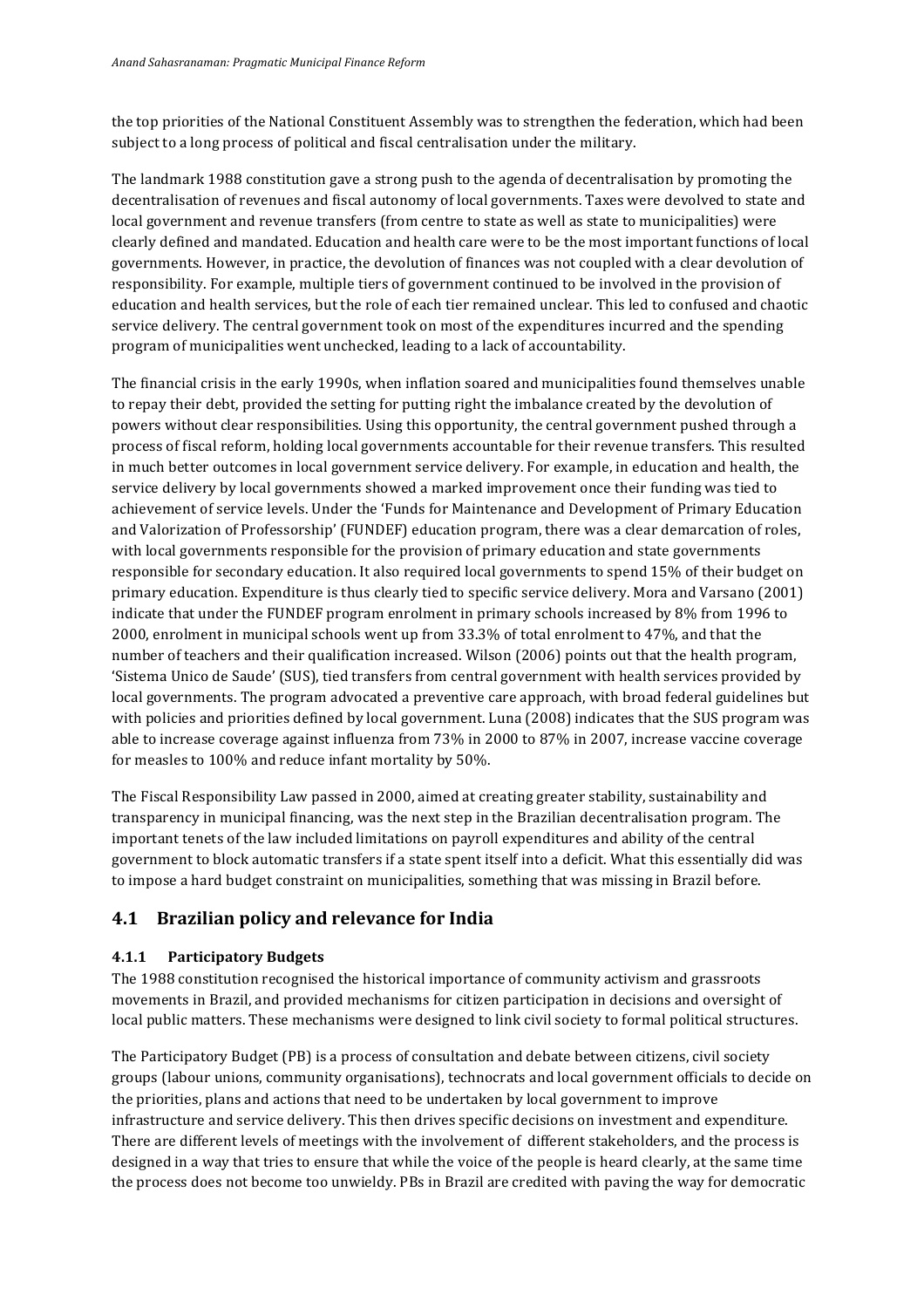the top priorities of the National Constituent Assembly was to strengthen the federation, which had been subject to a long process of political and fiscal centralisation under the military.

The landmark 1988 constitution gave a strong push to the agenda of decentralisation by promoting the decentralisation of revenues and fiscal autonomy of local governments. Taxes were devolved to state and local government and revenue transfers (from centre to state as well as state to municipalities) were clearly defined and mandated. Education and health care were to be the most important functions of local governments. However, in practice, the devolution of finances was not coupled with a clear devolution of responsibility. For example, multiple tiers of government continued to be involved in the provision of education and health services, but the role of each tier remained unclear. This led to confused and chaotic service delivery. The central government took on most of the expenditures incurred and the spending program of municipalities went unchecked, leading to a lack of accountability.

The financial crisis in the early 1990s, when inflation soared and municipalities found themselves unable to repay their debt, provided the setting for putting right the imbalance created by the devolution of powers without clear responsibilities. Using this opportunity, the central government pushed through a process of fiscal reform, holding local governments accountable for their revenue transfers. This resulted in much better outcomes in local government service delivery. For example, in education and health, the service delivery by local governments showed a marked improvement once their funding was tied to achievement of service levels. Under the 'Funds for Maintenance and Development of Primary Education and Valorization of Professorship' (FUNDEF) education program, there was a clear demarcation of roles, with local governments responsible for the provision of primary education and state governments responsible for secondary education. It also required local governments to spend 15% of their budget on primary education. Expenditure is thus clearly tied to specific service delivery. Mora and Varsano (2001) indicate that under the FUNDEF program enrolment in primary schools increased by 8% from 1996 to 2000, enrolment in municipal schools went up from 33.3% of total enrolment to 47%, and that the number of teachers and their qualification increased. Wilson (2006) points out that the health program, 'Sistema Unico de Saude' (SUS), tied transfers from central government with health services provided by local governments. The program advocated a preventive care approach, with broad federal guidelines but with policies and priorities defined by local government. Luna (2008) indicates that the SUS program was able to increase coverage against influenza from 73% in 2000 to 87% in 2007, increase vaccine coverage for measles to 100% and reduce infant mortality by 50%.

The Fiscal Responsibility Law passed in 2000, aimed at creating greater stability, sustainability and transparency in municipal financing, was the next step in the Brazilian decentralisation program. The important tenets of the law included limitations on payroll expenditures and ability of the central government to block automatic transfers if a state spent itself into a deficit. What this essentially did was to impose a hard budget constraint on municipalities, something that was missing in Brazil before.

## **4.1 Brazilian policy and relevance for India**

### **4.1.1 Participatory Budgets**

The 1988 constitution recognised the historical importance of community activism and grassroots movements in Brazil, and provided mechanisms for citizen participation in decisions and oversight of local public matters. These mechanisms were designed to link civil society to formal political structures.

The Participatory Budget (PB) is a process of consultation and debate between citizens, civil society groups (labour unions, community organisations), technocrats and local government officials to decide on the priorities, plans and actions that need to be undertaken by local government to improve infrastructure and service delivery. This then drives specific decisions on investment and expenditure. There are different levels of meetings with the involvement of different stakeholders, and the process is designed in a way that tries to ensure that while the voice of the people is heard clearly, at the same time the process does not become too unwieldy. PBs in Brazil are credited with paving the way for democratic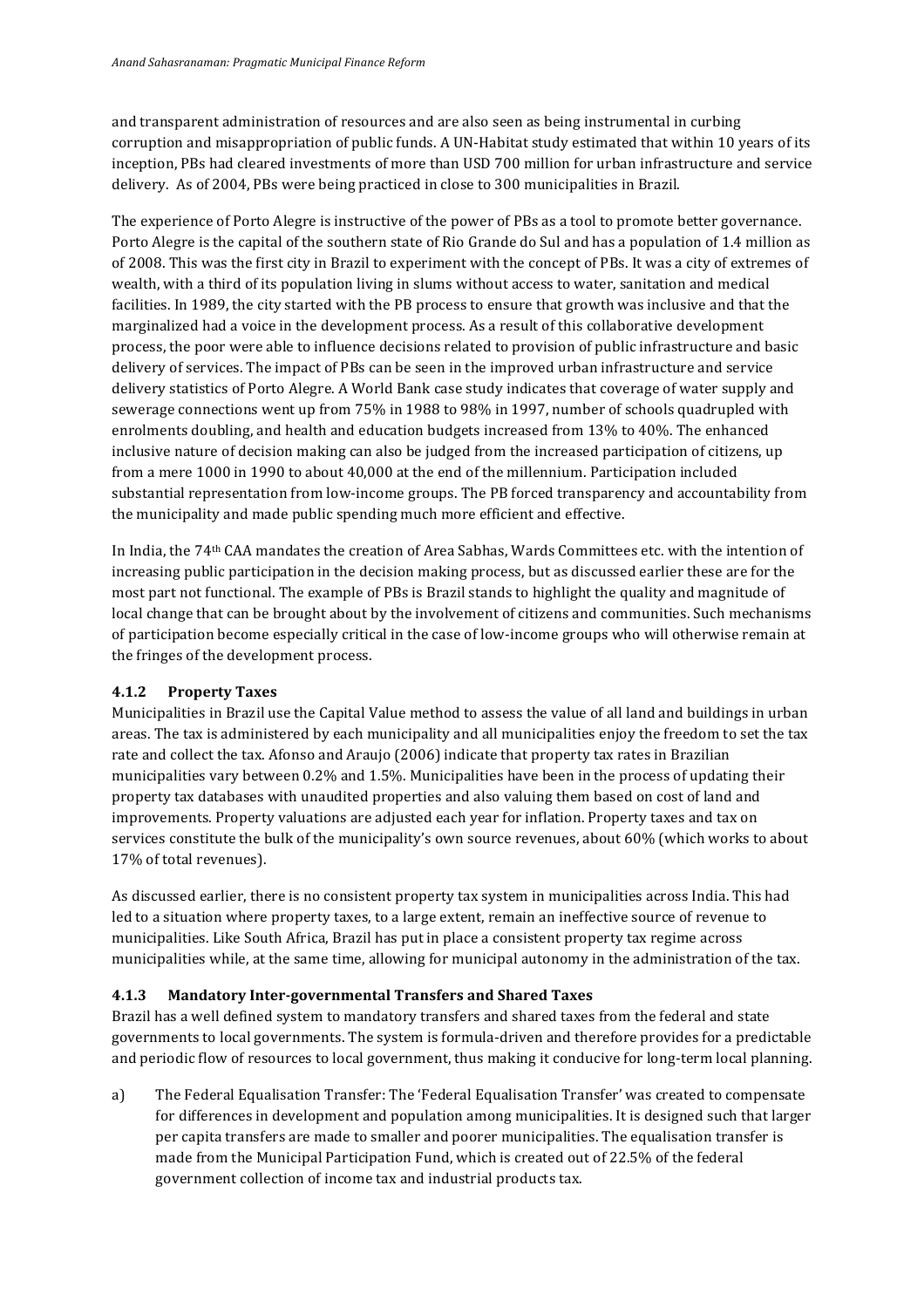and transparent administration of resources and are also seen as being instrumental in curbing corruption and misappropriation of public funds. A UN-Habitat study estimated that within 10 years of its inception, PBs had cleared investments of more than USD 700 million for urban infrastructure and service delivery. As of 2004, PBs were being practiced in close to 300 municipalities in Brazil.

The experience of Porto Alegre is instructive of the power of PBs as a tool to promote better governance. Porto Alegre is the capital of the southern state of Rio Grande do Sul and has a population of 1.4 million as of 2008. This was the first city in Brazil to experiment with the concept of PBs. It was a city of extremes of wealth, with a third of its population living in slums without access to water, sanitation and medical facilities. In 1989, the city started with the PB process to ensure that growth was inclusive and that the marginalized had a voice in the development process. As a result of this collaborative development process, the poor were able to influence decisions related to provision of public infrastructure and basic delivery of services. The impact of PBs can be seen in the improved urban infrastructure and service delivery statistics of Porto Alegre. A World Bank case study indicates that coverage of water supply and sewerage connections went up from 75% in 1988 to 98% in 1997, number of schools quadrupled with enrolments doubling, and health and education budgets increased from 13% to 40%. The enhanced inclusive nature of decision making can also be judged from the increased participation of citizens, up from a mere 1000 in 1990 to about 40,000 at the end of the millennium. Participation included substantial representation from low-income groups. The PB forced transparency and accountability from the municipality and made public spending much more efficient and effective.

In India, the 74<sup>th</sup> CAA mandates the creation of Area Sabhas, Wards Committees etc. with the intention of increasing public participation in the decision making process, but as discussed earlier these are for the most part not functional. The example of PBs is Brazil stands to highlight the quality and magnitude of local change that can be brought about by the involvement of citizens and communities. Such mechanisms of participation become especially critical in the case of low-income groups who will otherwise remain at the fringes of the development process.

### **4.1.2 Property Taxes**

Municipalities in Brazil use the Capital Value method to assess the value of all land and buildings in urban areas. The tax is administered by each municipality and all municipalities enjoy the freedom to set the tax rate and collect the tax. Afonso and Araujo (2006) indicate that property tax rates in Brazilian municipalities vary between 0.2% and 1.5%. Municipalities have been in the process of updating their property tax databases with unaudited properties and also valuing them based on cost of land and improvements. Property valuations are adjusted each year for inflation. Property taxes and tax on services constitute the bulk of the municipality's own source revenues, about 60% (which works to about 17% of total revenues).

As discussed earlier, there is no consistent property tax system in municipalities across India. This had led to a situation where property taxes, to a large extent, remain an ineffective source of revenue to municipalities. Like South Africa, Brazil has put in place a consistent property tax regime across municipalities while, at the same time, allowing for municipal autonomy in the administration of the tax.

### **4.1.3 Mandatory Inter-governmental Transfers and Shared Taxes**

Brazil has a well defined system to mandatory transfers and shared taxes from the federal and state governments to local governments. The system is formula-driven and therefore provides for a predictable and periodic flow of resources to local government, thus making it conducive for long-term local planning.

a) The Federal Equalisation Transfer: The 'Federal Equalisation Transfer' was created to compensate for differences in development and population among municipalities. It is designed such that larger per capita transfers are made to smaller and poorer municipalities. The equalisation transfer is made from the Municipal Participation Fund, which is created out of 22.5% of the federal government collection of income tax and industrial products tax.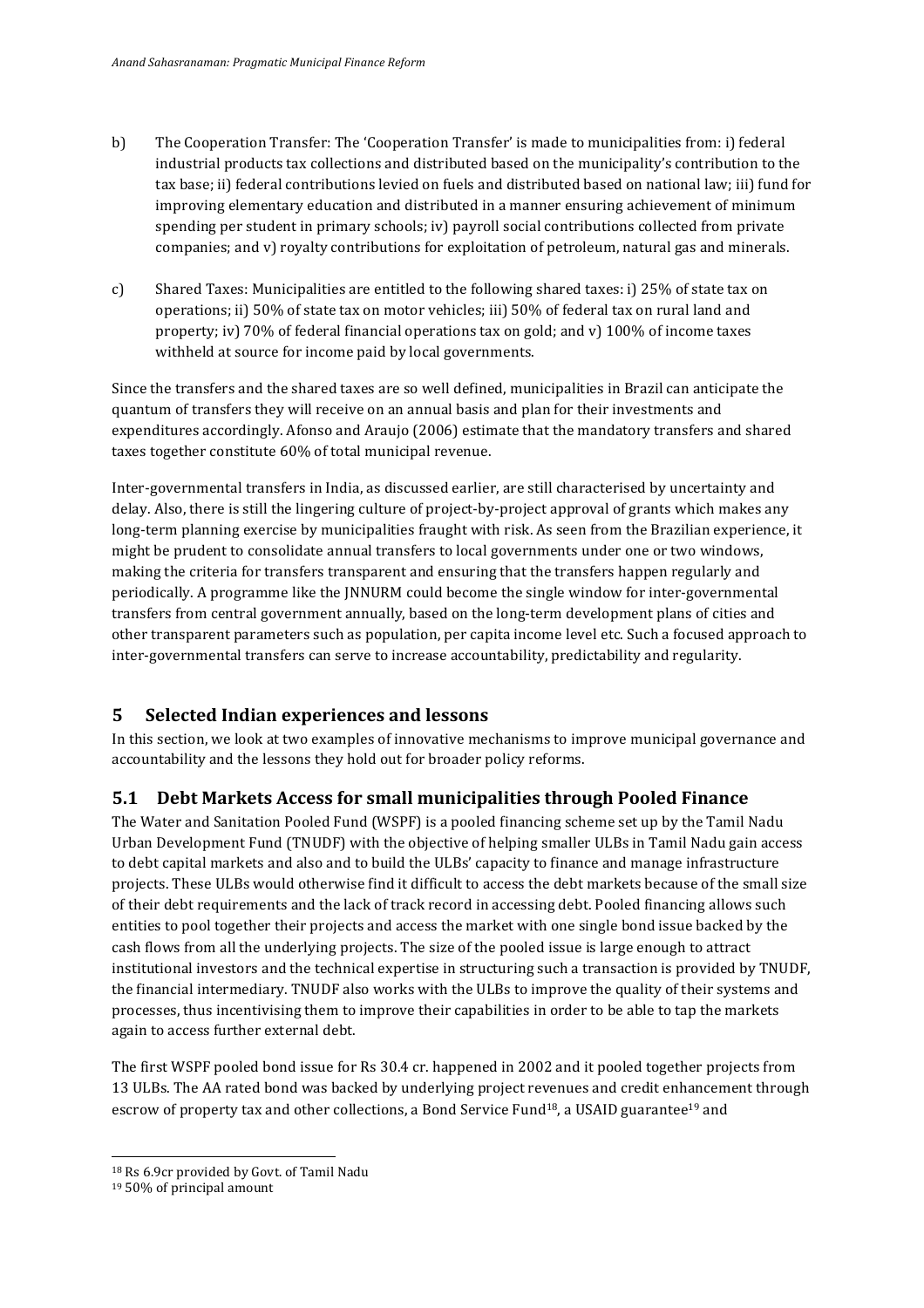- b) The Cooperation Transfer: The 'Cooperation Transfer' is made to municipalities from: i) federal industrial products tax collections and distributed based on the municipality's contribution to the tax base; ii) federal contributions levied on fuels and distributed based on national law; iii) fund for improving elementary education and distributed in a manner ensuring achievement of minimum spending per student in primary schools; iv) payroll social contributions collected from private companies; and  $v$ ) royalty contributions for exploitation of petroleum, natural gas and minerals.
- c) Shared Taxes: Municipalities are entitled to the following shared taxes: i) 25% of state tax on operations; ii) 50% of state tax on motor vehicles; iii) 50% of federal tax on rural land and property; iv)  $70\%$  of federal financial operations tax on gold; and v)  $100\%$  of income taxes withheld at source for income paid by local governments.

Since the transfers and the shared taxes are so well defined, municipalities in Brazil can anticipate the quantum of transfers they will receive on an annual basis and plan for their investments and expenditures accordingly. Afonso and Araujo (2006) estimate that the mandatory transfers and shared taxes together constitute 60% of total municipal revenue.

Inter-governmental transfers in India, as discussed earlier, are still characterised by uncertainty and delay. Also, there is still the lingering culture of project-by-project approval of grants which makes any long-term planning exercise by municipalities fraught with risk. As seen from the Brazilian experience, it might be prudent to consolidate annual transfers to local governments under one or two windows, making the criteria for transfers transparent and ensuring that the transfers happen regularly and periodically. A programme like the INNURM could become the single window for inter-governmental transfers from central government annually, based on the long-term development plans of cities and other transparent parameters such as population, per capita income level etc. Such a focused approach to inter-governmental transfers can serve to increase accountability, predictability and regularity.

## **5 Selected Indian experiences and lessons**

In this section, we look at two examples of innovative mechanisms to improve municipal governance and accountability and the lessons they hold out for broader policy reforms.

## **5.1 Debt Markets Access for small municipalities through Pooled Finance**

The Water and Sanitation Pooled Fund (WSPF) is a pooled financing scheme set up by the Tamil Nadu Urban Development Fund (TNUDF) with the objective of helping smaller ULBs in Tamil Nadu gain access to debt capital markets and also and to build the ULBs' capacity to finance and manage infrastructure projects. These ULBs would otherwise find it difficult to access the debt markets because of the small size of their debt requirements and the lack of track record in accessing debt. Pooled financing allows such entities to pool together their projects and access the market with one single bond issue backed by the cash flows from all the underlying projects. The size of the pooled issue is large enough to attract institutional investors and the technical expertise in structuring such a transaction is provided by TNUDF, the financial intermediary. TNUDF also works with the ULBs to improve the quality of their systems and processes, thus incentivising them to improve their capabilities in order to be able to tap the markets again to access further external debt.

The first WSPF pooled bond issue for Rs 30.4 cr. happened in 2002 and it pooled together projects from 13 ULBs. The AA rated bond was backed by underlying project revenues and credit enhancement through escrow of property tax and other collections, a Bond Service Fund<sup>18</sup>, a USAID guarantee<sup>19</sup> and

<sup>&</sup>lt;sup>18</sup> Rs 6.9cr provided by Govt. of Tamil Nadu

<sup>&</sup>lt;sup>19</sup> 50% of principal amount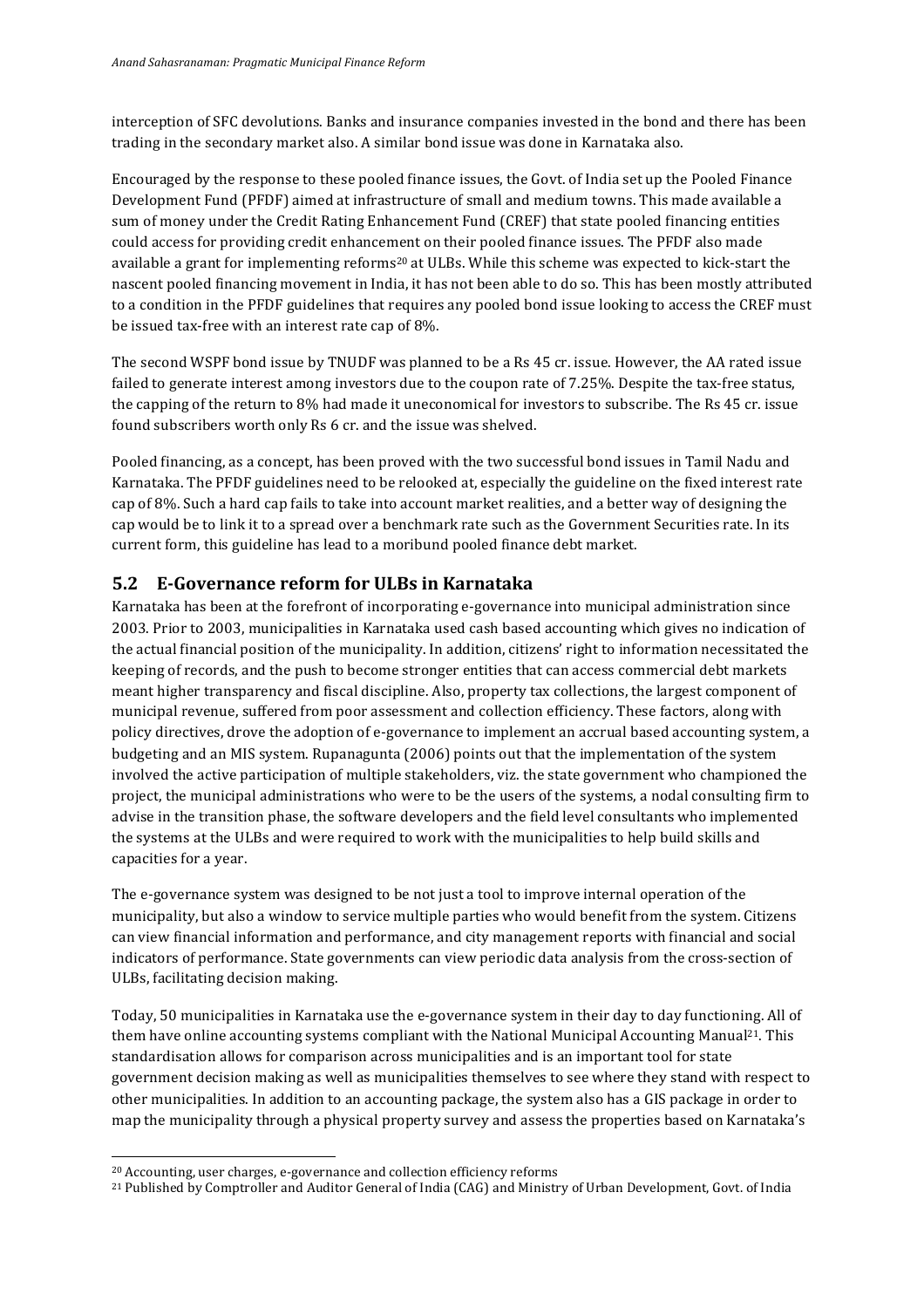interception of SFC devolutions. Banks and insurance companies invested in the bond and there has been trading in the secondary market also. A similar bond issue was done in Karnataka also.

Encouraged by the response to these pooled finance issues, the Govt. of India set up the Pooled Finance Development Fund (PFDF) aimed at infrastructure of small and medium towns. This made available a sum of money under the Credit Rating Enhancement Fund (CREF) that state pooled financing entities could access for providing credit enhancement on their pooled finance issues. The PFDF also made available a grant for implementing reforms<sup>20</sup> at ULBs. While this scheme was expected to kick-start the nascent pooled financing movement in India, it has not been able to do so. This has been mostly attributed to a condition in the PFDF guidelines that requires any pooled bond issue looking to access the CREF must be issued tax-free with an interest rate cap of 8%.

The second WSPF bond issue by TNUDF was planned to be a Rs 45 cr. issue. However, the AA rated issue failed to generate interest among investors due to the coupon rate of 7.25%. Despite the tax-free status, the capping of the return to 8% had made it uneconomical for investors to subscribe. The Rs 45 cr. issue found subscribers worth only Rs 6 cr. and the issue was shelved.

Pooled financing, as a concept, has been proved with the two successful bond issues in Tamil Nadu and Karnataka. The PFDF guidelines need to be relooked at, especially the guideline on the fixed interest rate cap of 8%. Such a hard cap fails to take into account market realities, and a better way of designing the cap would be to link it to a spread over a benchmark rate such as the Government Securities rate. In its current form, this guideline has lead to a moribund pooled finance debt market.

## **5.2 E-Governance reform for ULBs in Karnataka**

Karnataka has been at the forefront of incorporating e-governance into municipal administration since 2003. Prior to 2003, municipalities in Karnataka used cash based accounting which gives no indication of the actual financial position of the municipality. In addition, citizens' right to information necessitated the keeping of records, and the push to become stronger entities that can access commercial debt markets meant higher transparency and fiscal discipline. Also, property tax collections, the largest component of municipal revenue, suffered from poor assessment and collection efficiency. These factors, along with policy directives, drove the adoption of e-governance to implement an accrual based accounting system, a budgeting and an MIS system. Rupanagunta (2006) points out that the implementation of the system involved the active participation of multiple stakeholders, viz. the state government who championed the project, the municipal administrations who were to be the users of the systems, a nodal consulting firm to advise in the transition phase, the software developers and the field level consultants who implemented the systems at the ULBs and were required to work with the municipalities to help build skills and capacities for a year.

The e-governance system was designed to be not just a tool to improve internal operation of the municipality, but also a window to service multiple parties who would benefit from the system. Citizens can view financial information and performance, and city management reports with financial and social indicators of performance. State governments can view periodic data analysis from the cross-section of ULBs, facilitating decision making.

Today, 50 municipalities in Karnataka use the e-governance system in their day to day functioning. All of them have online accounting systems compliant with the National Municipal Accounting Manual<sup>21</sup>. This standardisation allows for comparison across municipalities and is an important tool for state government decision making as well as municipalities themselves to see where they stand with respect to other municipalities. In addition to an accounting package, the system also has a GIS package in order to map the municipality through a physical property survey and assess the properties based on Karnataka's

<sup>&</sup>lt;sup>20</sup> Accounting, user charges, e-governance and collection efficiency reforms

<sup>&</sup>lt;sup>21</sup> Published by Comptroller and Auditor General of India (CAG) and Ministry of Urban Development, Govt. of India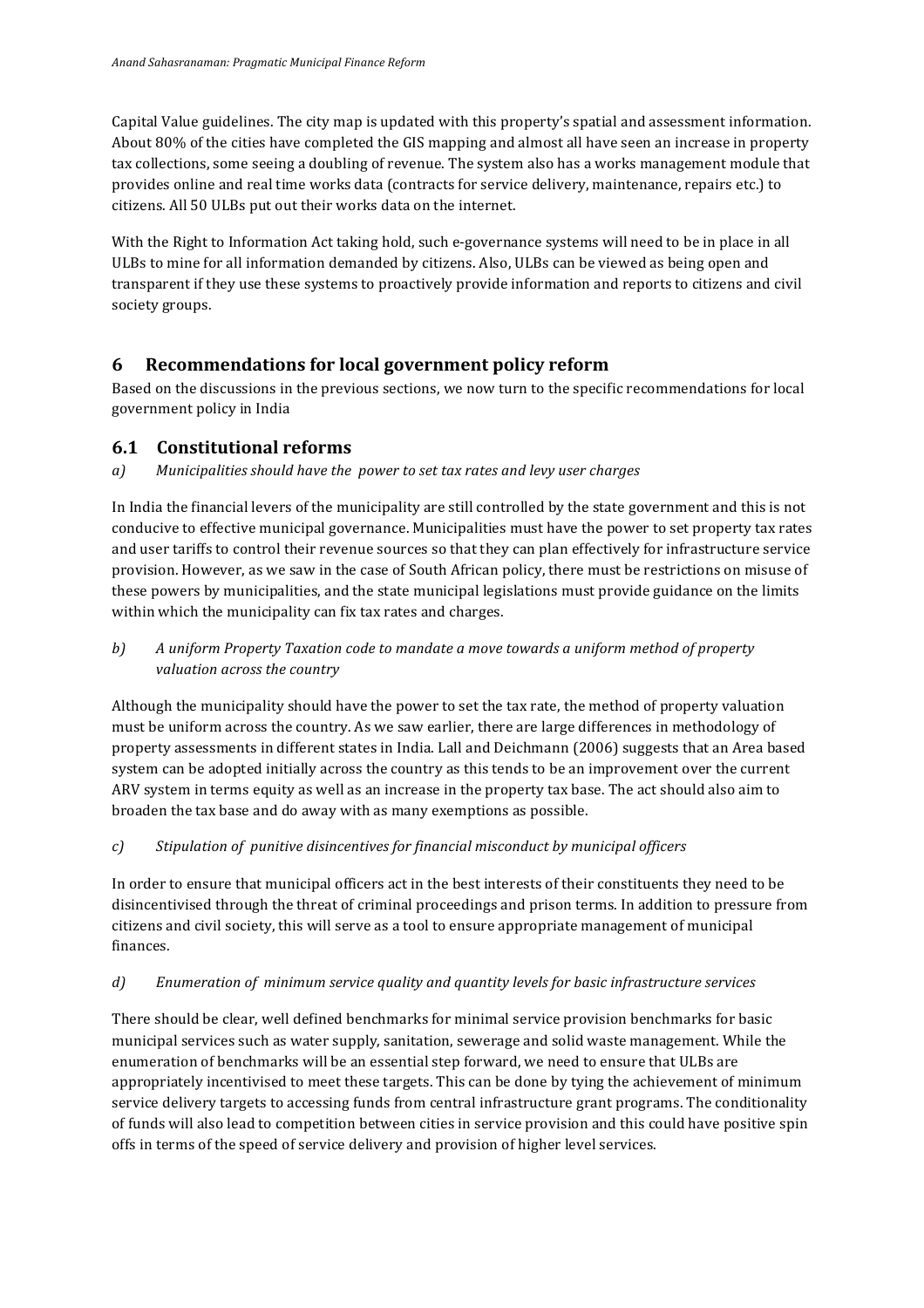Capital Value guidelines. The city map is updated with this property's spatial and assessment information. About 80% of the cities have completed the GIS mapping and almost all have seen an increase in property tax collections, some seeing a doubling of revenue. The system also has a works management module that provides online and real time works data (contracts for service delivery, maintenance, repairs etc.) to citizens. All 50 ULBs put out their works data on the internet.

With the Right to Information Act taking hold, such e-governance systems will need to be in place in all ULBs to mine for all information demanded by citizens. Also, ULBs can be viewed as being open and transparent if they use these systems to proactively provide information and reports to citizens and civil society groups.

## **6 Recommendations for local government policy reform**

Based on the discussions in the previous sections, we now turn to the specific recommendations for local government policy in India

### **6.1 Constitutional reforms**

*a*) Municipalities should have the *power* to set tax rates and levy user charges

In India the financial levers of the municipality are still controlled by the state government and this is not conducive to effective municipal governance. Municipalities must have the power to set property tax rates and user tariffs to control their revenue sources so that they can plan effectively for infrastructure service provision. However, as we saw in the case of South African policy, there must be restrictions on misuse of these powers by municipalities, and the state municipal legislations must provide guidance on the limits within which the municipality can fix tax rates and charges.

### *b*) A uniform Property Taxation code to mandate a move towards a uniform method of property *valuation across the country*

Although the municipality should have the power to set the tax rate, the method of property valuation must be uniform across the country. As we saw earlier, there are large differences in methodology of property assessments in different states in India. Lall and Deichmann (2006) suggests that an Area based system can be adopted initially across the country as this tends to be an improvement over the current ARV system in terms equity as well as an increase in the property tax base. The act should also aim to broaden the tax base and do away with as many exemptions as possible.

### *c) Stipulation of punitive disincentives for financial misconduct by municipal officers*

In order to ensure that municipal officers act in the best interests of their constituents they need to be disincentivised through the threat of criminal proceedings and prison terms. In addition to pressure from citizens and civil society, this will serve as a tool to ensure appropriate management of municipal finances.

### *d*) Enumeration of minimum service quality and quantity levels for basic infrastructure services

There should be clear, well defined benchmarks for minimal service provision benchmarks for basic municipal services such as water supply, sanitation, sewerage and solid waste management. While the enumeration of benchmarks will be an essential step forward, we need to ensure that ULBs are appropriately incentivised to meet these targets. This can be done by tying the achievement of minimum service delivery targets to accessing funds from central infrastructure grant programs. The conditionality of funds will also lead to competition between cities in service provision and this could have positive spin offs in terms of the speed of service delivery and provision of higher level services.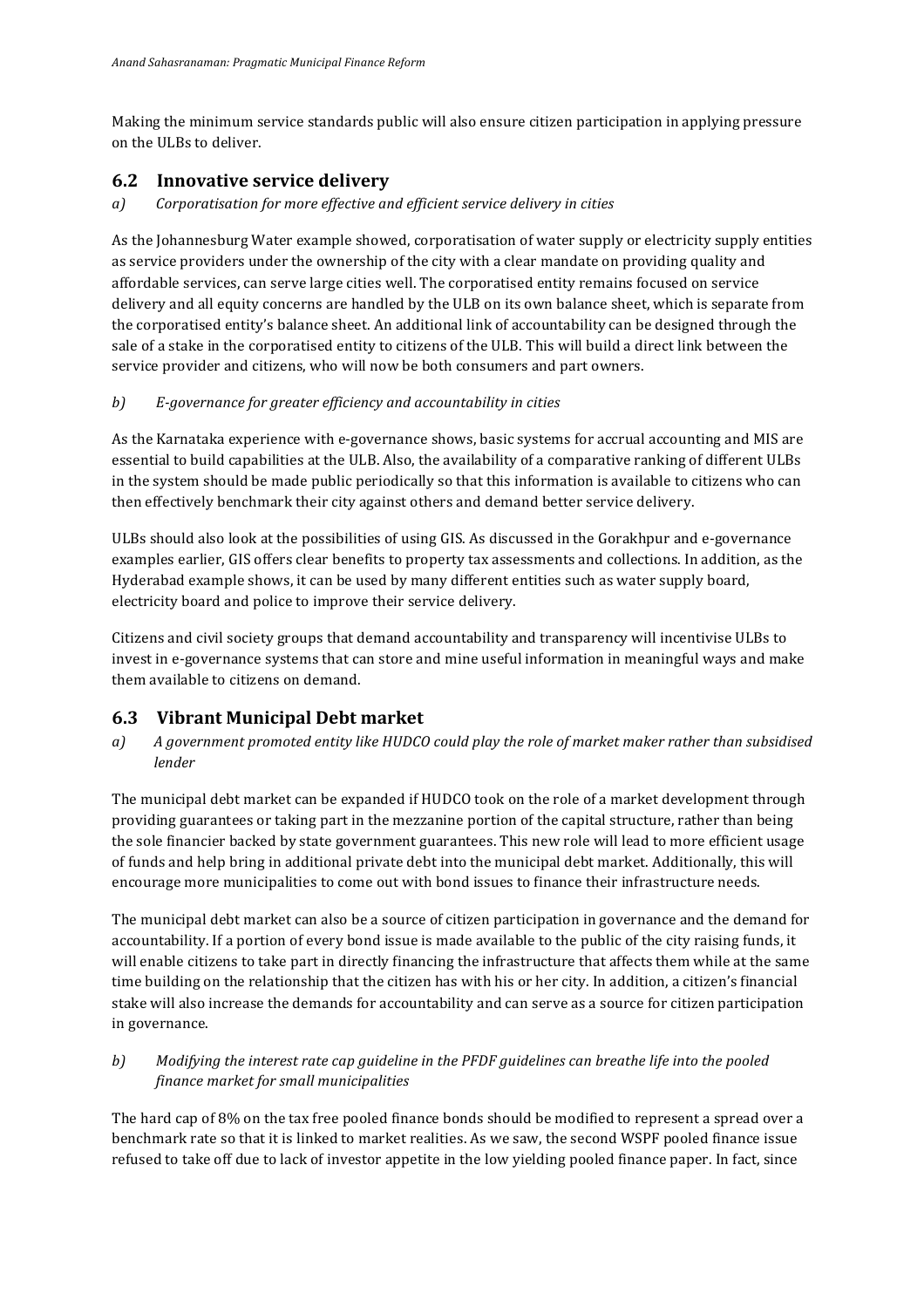Making the minimum service standards public will also ensure citizen participation in applying pressure on the ULBs to deliver.

### **6.2 Innovative service delivery**

*a*) Corporatisation for more effective and efficient service delivery in cities

As the Johannesburg Water example showed, corporatisation of water supply or electricity supply entities as service providers under the ownership of the city with a clear mandate on providing quality and affordable services, can serve large cities well. The corporatised entity remains focused on service delivery and all equity concerns are handled by the ULB on its own balance sheet, which is separate from the corporatised entity's balance sheet. An additional link of accountability can be designed through the sale of a stake in the corporatised entity to citizens of the ULB. This will build a direct link between the service provider and citizens, who will now be both consumers and part owners.

### *b*) *E-governance for greater efficiency and accountability in cities*

As the Karnataka experience with e-governance shows, basic systems for accrual accounting and MIS are essential to build capabilities at the ULB. Also, the availability of a comparative ranking of different ULBs in the system should be made public periodically so that this information is available to citizens who can then effectively benchmark their city against others and demand better service delivery.

ULBs should also look at the possibilities of using GIS. As discussed in the Gorakhpur and e-governance examples earlier, GIS offers clear benefits to property tax assessments and collections. In addition, as the Hyderabad example shows, it can be used by many different entities such as water supply board, electricity board and police to improve their service delivery.

Citizens and civil society groups that demand accountability and transparency will incentivise ULBs to invest in e-governance systems that can store and mine useful information in meaningful ways and make them available to citizens on demand.

## **6.3 Vibrant Municipal Debt market**

*a*) A government promoted entity like HUDCO could play the role of market maker rather than subsidised *lender*

The municipal debt market can be expanded if HUDCO took on the role of a market development through providing guarantees or taking part in the mezzanine portion of the capital structure, rather than being the sole financier backed by state government guarantees. This new role will lead to more efficient usage of funds and help bring in additional private debt into the municipal debt market. Additionally, this will encourage more municipalities to come out with bond issues to finance their infrastructure needs.

The municipal debt market can also be a source of citizen participation in governance and the demand for accountability. If a portion of every bond issue is made available to the public of the city raising funds, it will enable citizens to take part in directly financing the infrastructure that affects them while at the same time building on the relationship that the citizen has with his or her city. In addition, a citizen's financial stake will also increase the demands for accountability and can serve as a source for citizen participation in governance.

### *b*) Modifying the interest rate cap guideline in the PFDF guidelines can breathe life into the pooled *finance market for small municipalities*

The hard cap of 8% on the tax free pooled finance bonds should be modified to represent a spread over a benchmark rate so that it is linked to market realities. As we saw, the second WSPF pooled finance issue refused to take off due to lack of investor appetite in the low yielding pooled finance paper. In fact, since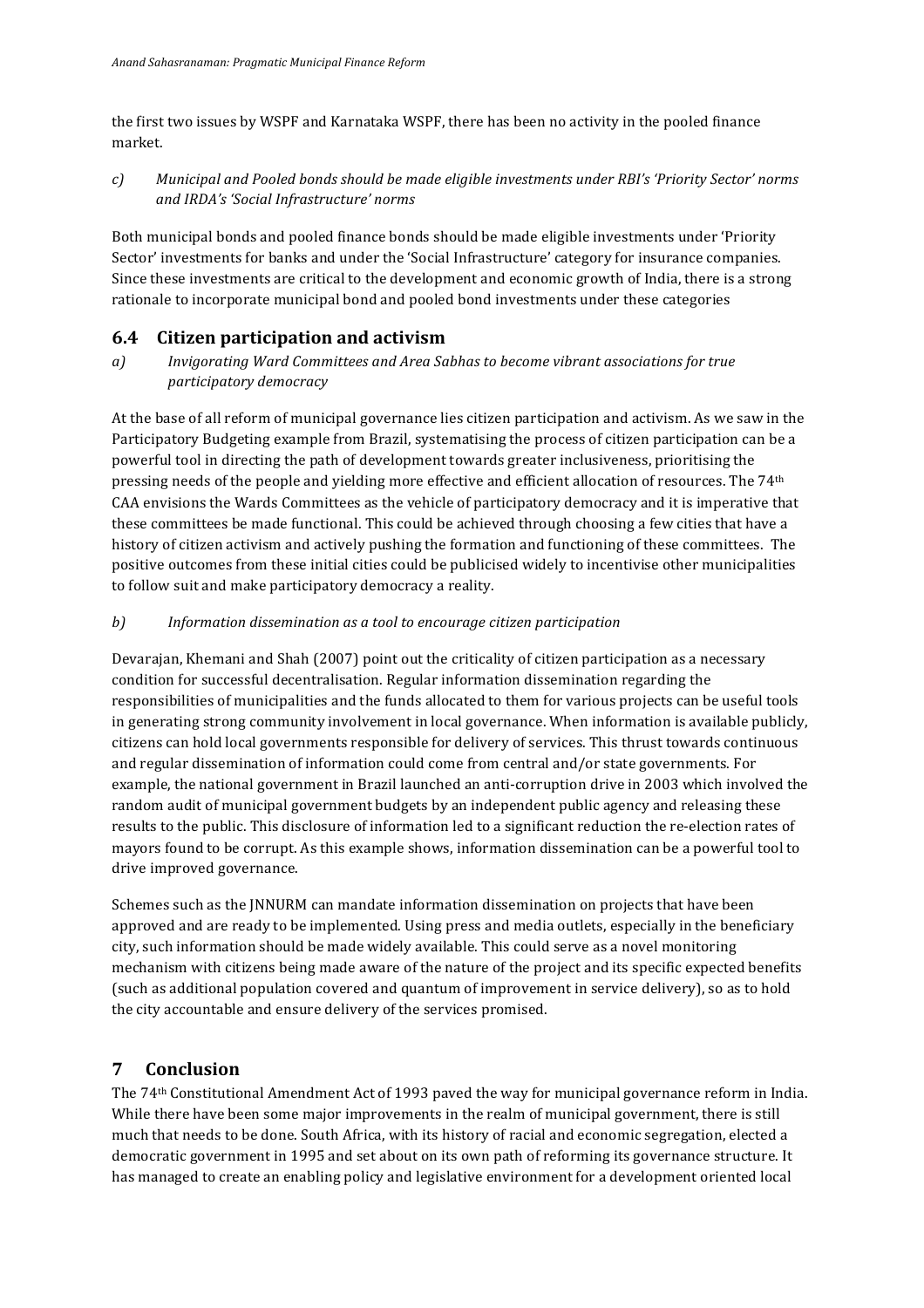the first two issues by WSPF and Karnataka WSPF, there has been no activity in the pooled finance market.

*c*) Municipal and Pooled bonds should be made eligible investments under RBI's 'Priority Sector' norms *and IRDA's 'Social Infrastructure' norms*

Both municipal bonds and pooled finance bonds should be made eligible investments under 'Priority Sector' investments for banks and under the 'Social Infrastructure' category for insurance companies. Since these investments are critical to the development and economic growth of India, there is a strong rationale to incorporate municipal bond and pooled bond investments under these categories

# **6.4 Citizen participation and activism**

*a*) *Invigorating Ward Committees and Area Sabhas to become vibrant associations for true participatory democracy*

At the base of all reform of municipal governance lies citizen participation and activism. As we saw in the Participatory Budgeting example from Brazil, systematising the process of citizen participation can be a powerful tool in directing the path of development towards greater inclusiveness, prioritising the pressing needs of the people and yielding more effective and efficient allocation of resources. The 74<sup>th</sup> CAA envisions the Wards Committees as the vehicle of participatory democracy and it is imperative that these committees be made functional. This could be achieved through choosing a few cities that have a history of citizen activism and actively pushing the formation and functioning of these committees. The positive outcomes from these initial cities could be publicised widely to incentivise other municipalities to follow suit and make participatory democracy a reality.

### *b*) Information dissemination as a tool to encourage citizen participation

Devarajan, Khemani and Shah (2007) point out the criticality of citizen participation as a necessary condition for successful decentralisation. Regular information dissemination regarding the responsibilities of municipalities and the funds allocated to them for various projects can be useful tools in generating strong community involvement in local governance. When information is available publicly, citizens can hold local governments responsible for delivery of services. This thrust towards continuous and regular dissemination of information could come from central and/or state governments. For example, the national government in Brazil launched an anti-corruption drive in 2003 which involved the random audit of municipal government budgets by an independent public agency and releasing these results to the public. This disclosure of information led to a significant reduction the re-election rates of mayors found to be corrupt. As this example shows, information dissemination can be a powerful tool to drive improved governance.

Schemes such as the JNNURM can mandate information dissemination on projects that have been approved and are ready to be implemented. Using press and media outlets, especially in the beneficiary city, such information should be made widely available. This could serve as a novel monitoring mechanism with citizens being made aware of the nature of the project and its specific expected benefits (such as additional population covered and quantum of improvement in service delivery), so as to hold the city accountable and ensure delivery of the services promised.

### **7 Conclusion**

The 74<sup>th</sup> Constitutional Amendment Act of 1993 paved the way for municipal governance reform in India. While there have been some major improvements in the realm of municipal government, there is still much that needs to be done. South Africa, with its history of racial and economic segregation, elected a democratic government in 1995 and set about on its own path of reforming its governance structure. It has managed to create an enabling policy and legislative environment for a development oriented local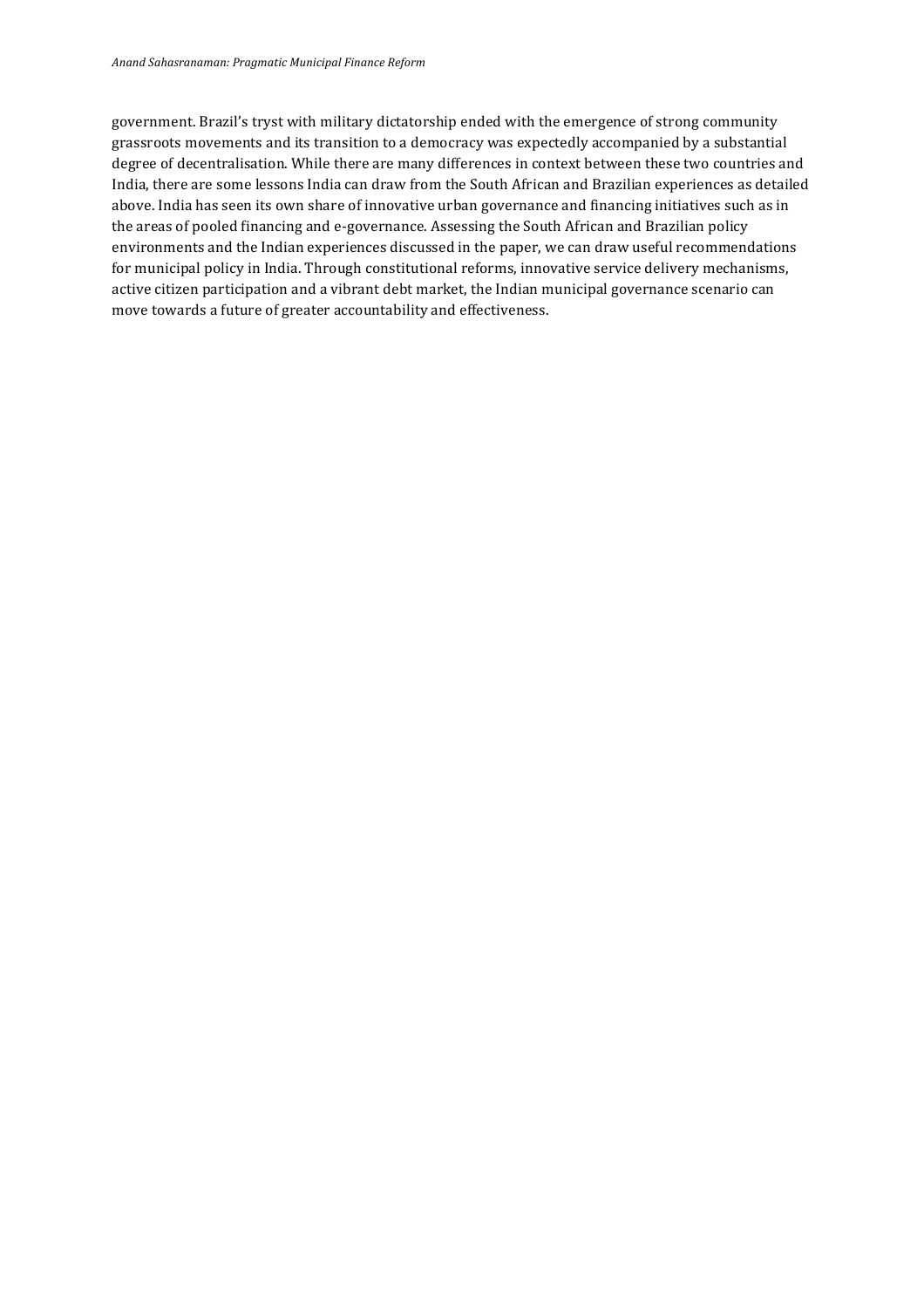government. Brazil's tryst with military dictatorship ended with the emergence of strong community grassroots movements and its transition to a democracy was expectedly accompanied by a substantial degree of decentralisation. While there are many differences in context between these two countries and India, there are some lessons India can draw from the South African and Brazilian experiences as detailed above. India has seen its own share of innovative urban governance and financing initiatives such as in the areas of pooled financing and e-governance. Assessing the South African and Brazilian policy environments and the Indian experiences discussed in the paper, we can draw useful recommendations for municipal policy in India. Through constitutional reforms, innovative service delivery mechanisms, active citizen participation and a vibrant debt market, the Indian municipal governance scenario can move towards a future of greater accountability and effectiveness.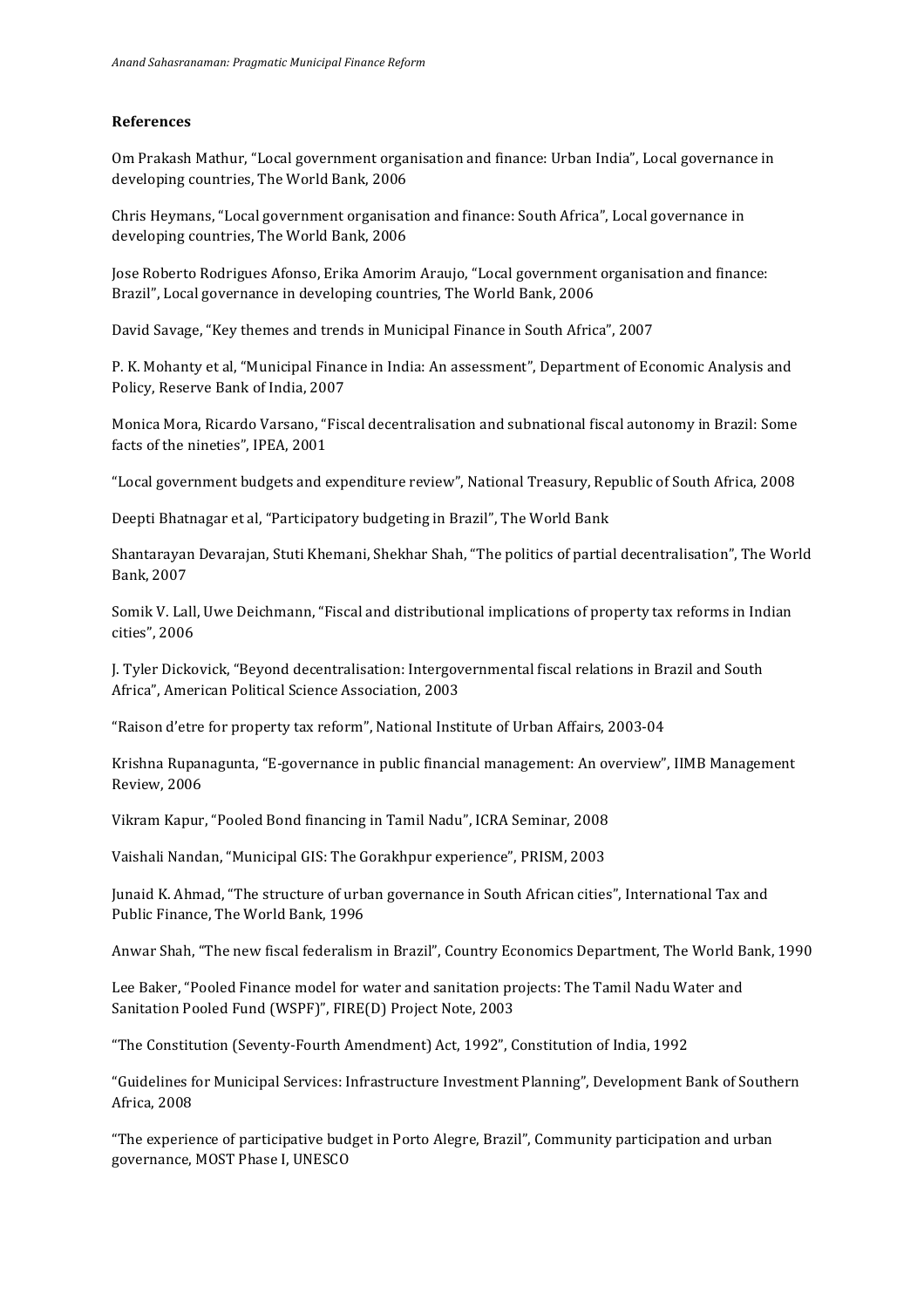#### **References**

Om Prakash Mathur, "Local government organisation and finance: Urban India", Local governance in developing countries, The World Bank, 2006

Chris Heymans, "Local government organisation and finance: South Africa", Local governance in developing countries. The World Bank, 2006

Jose Roberto Rodrigues Afonso, Erika Amorim Araujo, "Local government organisation and finance: Brazil", Local governance in developing countries, The World Bank, 2006

David Savage, "Key themes and trends in Municipal Finance in South Africa", 2007

P. K. Mohanty et al, "Municipal Finance in India: An assessment", Department of Economic Analysis and Policy, Reserve Bank of India, 2007

Monica Mora, Ricardo Varsano, "Fiscal decentralisation and subnational fiscal autonomy in Brazil: Some facts of the nineties", IPEA, 2001

"Local government budgets and expenditure review", National Treasury, Republic of South Africa, 2008

Deepti Bhatnagar et al, "Participatory budgeting in Brazil", The World Bank

Shantarayan Devarajan, Stuti Khemani, Shekhar Shah, "The politics of partial decentralisation", The World Bank, 2007

Somik V. Lall, Uwe Deichmann, "Fiscal and distributional implications of property tax reforms in Indian cities", 2006

J. Tyler Dickovick, "Beyond decentralisation: Intergovernmental fiscal relations in Brazil and South Africa", American Political Science Association, 2003

"Raison d'etre for property tax reform", National Institute of Urban Affairs, 2003-04

Krishna Rupanagunta, "E-governance in public financial management: An overview", IIMB Management Review, 2006

Vikram Kapur, "Pooled Bond financing in Tamil Nadu", ICRA Seminar, 2008

Vaishali Nandan, "Municipal GIS: The Gorakhpur experience", PRISM, 2003

Junaid K. Ahmad, "The structure of urban governance in South African cities", International Tax and Public Finance, The World Bank, 1996

Anwar Shah, "The new fiscal federalism in Brazil", Country Economics Department, The World Bank, 1990

Lee Baker, "Pooled Finance model for water and sanitation projects: The Tamil Nadu Water and Sanitation Pooled Fund (WSPF)", FIRE(D) Project Note, 2003

"The Constitution (Seventy-Fourth Amendment) Act, 1992", Constitution of India, 1992

"Guidelines for Municipal Services: Infrastructure Investment Planning", Development Bank of Southern Africa, 2008

"The experience of participative budget in Porto Alegre, Brazil", Community participation and urban governance, MOST Phase I, UNESCO